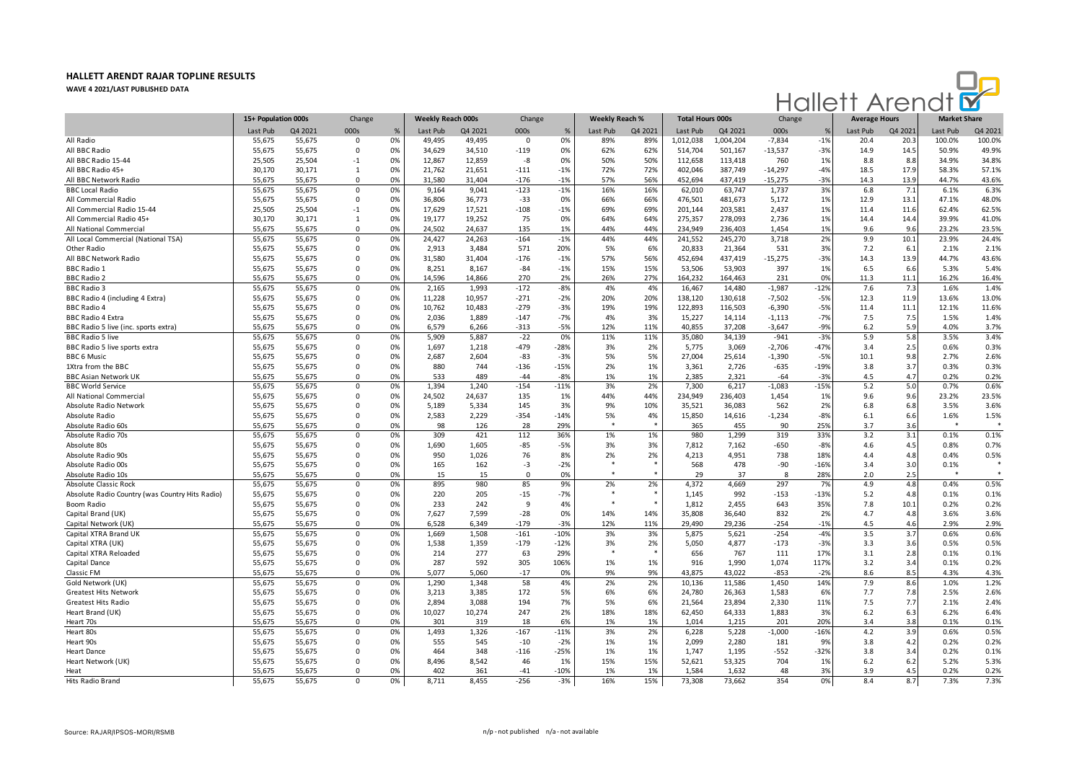

|                                                 | 15+ Population 000s |         | Change                  |          | Weekly Reach 000s |            | Change          |                 | <b>Weekly Reach %</b> |           | <b>Total Hours 000s</b> |           | Change        |               | <b>Average Hours</b> |            | <b>Market Share</b> |              |
|-------------------------------------------------|---------------------|---------|-------------------------|----------|-------------------|------------|-----------------|-----------------|-----------------------|-----------|-------------------------|-----------|---------------|---------------|----------------------|------------|---------------------|--------------|
|                                                 | Last Pub            | Q4 2021 | 000s                    | $\%$     | Last Pub          | Q4 2021    | 000s            | %               | Last Pub              | Q4 2021   | Last Pub                | Q4 2021   | 000s          | $\frac{9}{6}$ | Last Pub             | Q4 2021    | Last Pub            | Q4 2021      |
| All Radio                                       | 55,675              | 55,675  | 0                       | 0%       | 49,495            | 49,495     | $\mathbf 0$     | 0%              | 89%                   | 89%       | 1,012,038               | 1,004,204 | $-7,834$      | $-1%$         | 20.4                 | 20.3       | 100.0%              | 100.0%       |
| All BBC Radio                                   | 55,675              | 55,675  | $\Omega$                | 0%       | 34,629            | 34,510     | $-119$          | 0%              | 62%                   | 62%       | 514,704                 | 501,167   | $-13,537$     | $-3%$         | 14.9                 | 14.5       | 50.9%               | 49.9%        |
| All BBC Radio 15-44                             | 25,505              | 25,504  | $-1$                    | 0%       | 12,867            | 12,859     | -8              | 0%              | 50%                   | 50%       | 112,658                 | 113,418   | 760           | 1%            | 8.8                  | 8.8        | 34.9%               | 34.8%        |
| All BBC Radio 45+                               | 30,170              | 30,171  | 1                       | 0%       | 21,762            | 21,651     | $-111$          | $-1%$           | 72%                   | 72%       | 402,046                 | 387,749   | $-14,297$     | $-4%$         | 18.5                 | 17.9       | 58.3%               | 57.1%        |
| All BBC Network Radio                           | 55,675              | 55,675  | $\Omega$                | 0%       | 31,580            | 31,404     | $-176$          | $-1%$           | 57%                   | 56%       | 452,694                 | 437,419   | -15,275       | $-3%$         | 14.3                 | 13.9       | 44.7%               | 43.6%        |
| <b>BBC Local Radio</b>                          | 55,675              | 55,675  | $\mathbf 0$             | 0%       | 9,164             | 9.041      | $-123$          | $-1%$           | 16%                   | 16%       | 62,010                  | 63,747    | 1,737         | 3%            | 6.8                  | 7.1        | 6.1%                | 6.3%         |
| All Commercial Radio                            | 55.675              | 55,675  | $\Omega$                | 0%       | 36,806            | 36.773     | $-33$           | 0%              | 66%                   | 66%       | 476,501                 | 481,673   | 5,172         | 1%            | 12.9                 | 13.1       | 47.1%               | 48.0%        |
| All Commercial Radio 15-44                      | 25,505              | 25,504  | $-1$                    | 0%       | 17,629            | 17,521     | $-108$          | $-1%$           | 69%                   | 69%       | 201,144                 | 203,581   | 2,437         | 1%            | 11.4                 | 11.6       | 62.4%               | 62.5%        |
| All Commercial Radio 45+                        | 30,170              | 30,171  | 1                       | 0%       | 19,177            | 19,252     | 75              | 0%              | 64%                   | 64%       | 275,357                 | 278,093   | 2,736         | 1%            | 14.4                 | 14.4       | 39.9%               | 41.0%        |
| All National Commercial                         | 55,675              | 55,675  | $\Omega$                | 0%       | 24,502            | 24,637     | 135             | 1%              | 44%                   | 44%       | 234,949                 | 236,403   | 1,454         | 1%            | 9.6                  | 9.6        | 23.2%               | 23.5%        |
| All Local Commercial (National TSA)             | 55,675              | 55,675  | $\mathbf 0$             | 0%       | 24,427            | 24,263     | $-164$          | $-1%$           | 44%                   | 44%       | 241,552                 | 245,270   | 3,718         | 2%            | 9.9                  | 10.1       | 23.9%               | 24.4%        |
| Other Radio                                     | 55,675              | 55,675  | $\mathbf 0$             | 0%       | 2,913             | 3,484      | 571             | 20%             | 5%                    | 6%        | 20,833                  | 21,364    | 531           | 3%            | 7.2                  | 6.1        | 2.1%                | 2.1%         |
| All BBC Network Radio                           | 55,675              | 55,675  | $\Omega$                | 0%       | 31,580            | 31.404     | $-176$          | $-1%$           | 57%                   | 56%       | 452,694                 | 437,419   | $-15,275$     | $-3%$         | 14.3                 | 13.9       | 44.7%               | 43.6%        |
| <b>BBC Radio 1</b>                              | 55.675              | 55,675  | $\Omega$                | 0%       | 8,251             | 8.167      | $-84$           | $-1%$           | 15%                   | 15%       | 53,506                  | 53,903    | 397           | 1%            | 6.5                  | 6.6        | 5.3%                | 5.4%         |
| <b>BBC Radio 2</b>                              | 55,675              | 55,675  | $\Omega$                | 0%       | 14,596            | 14,866     | 270             | 2%              | 26%                   | 27%       | 164,232                 | 164,463   | 231           | 0%            | 11.3                 | 11.1       | 16.2%               | 16.4%        |
| <b>BBC Radio 3</b>                              | 55,675              | 55,675  | $\mathsf 0$             | 0%       | 2,165             | 1,993      | $-172$          | $-8%$           | 4%                    | 4%        | 16,467                  | 14,480    | $-1,987$      | $-12%$        | 7.6                  | 7.3        | 1.6%                | 1.4%         |
| BBC Radio 4 (including 4 Extra)                 | 55,675              | 55,675  | $\Omega$                | 0%       | 11,228            | 10,957     | $-271$          | $-2%$           | 20%                   | 20%       | 138,120                 | 130,618   | $-7,502$      | $-5%$         | 12.3                 | 11.9       | 13.6%               | 13.0%        |
| <b>BBC Radio 4</b>                              | 55,675              | 55,675  | $\mathbf 0$             | 0%       | 10,762            | 10,483     | $-279$          | $-3%$           | 19%                   | 19%       | 122,893                 | 116,503   | $-6,390$      | $-5%$         | 11.4                 | 11.1       | 12.1%               | 11.6%        |
| <b>BBC Radio 4 Extra</b>                        | 55,675              | 55,675  | $\mathbf 0$             | 0%       | 2,036             | 1,889      | $-147$          | $-7%$           | 4%                    | 3%        | 15,227                  | 14,114    | $-1,113$      | $-7%$         | 7.5                  | 7.5        | 1.5%                | 1.4%         |
| BBC Radio 5 live (inc. sports extra)            | 55.675              | 55.675  | $\Omega$                | 0%       | 6.579             | 6.266      | $-313$          | $-5%$           | 12%                   | 11%       | 40.855                  | 37.208    | $-3.647$      | $-9%$         | 6.2                  | 5.9        | 4.0%                | 3.7%         |
| <b>BBC Radio 5 live</b>                         | 55,675              | 55,675  | $\Omega$                | 0%       | 5,909             | 5,887      | $-22$           | 0%              | 11%                   | 11%       | 35,080                  | 34,139    | $-941$        | $-3%$         | 5.9                  | 5.8        | 3.5%                | 3.4%         |
| BBC Radio 5 live sports extra                   | 55,675              | 55,675  | $\Omega$                | 0%       | 1,697             | 1,218      | $-479$          | $-28%$          | 3%                    | 2%        | 5,775                   | 3,069     | $-2,706$      | $-47%$        | 3.4                  | 2.5        | 0.6%                | 0.3%         |
| <b>BBC 6 Music</b>                              | 55,675              | 55,675  | $\Omega$                | 0%       | 2,687             | 2,604      | $-83$           | $-3%$           | 5%                    | 5%        | 27,004                  | 25,614    | $-1,390$      | $-5%$         | 10.1                 | 9.8        | 2.7%                | 2.6%         |
| 1Xtra from the BBC                              | 55,675              | 55,675  | $\Omega$                | 0%       | 880               | 744        | $-136$          | $-15%$          | 2%                    | 1%        | 3,361                   | 2,726     | $-635$        | $-19%$        | 3.8                  | 3.7        | 0.3%                | 0.3%         |
| <b>BBC Asian Network UK</b>                     | 55,675              | 55,675  | $\Omega$                | 0%       | 533               | 489        | $-44$           | $-8%$           | 1%                    | 1%        | 2,385                   | 2,321     | $-64$         | $-3%$         | 4.5                  | 4.7        | 0.2%                | 0.2%         |
| <b>BBC World Service</b>                        | 55,675              | 55,675  | $\mathbf 0$             | 0%       | 1,394             | 1,240      | $-154$          | $-11%$          | 3%                    | 2%        | 7,300                   | 6,217     | $-1,083$      | $-15%$        | 5.2                  | 5.0        | 0.7%                | 0.6%         |
| All National Commercial                         | 55,675              | 55,675  | $\mathbf 0$             | 0%       | 24,502            | 24,637     | 135             | 1%              | 44%                   | 44%       | 234,949                 | 236,403   | 1,454         | 1%            | 9.6                  | 9.6        | 23.2%               | 23.5%        |
| Absolute Radio Network                          | 55.675              | 55.675  | $\Omega$                | 0%       | 5.189             | 5.334      | 145             | 3%              | 9%                    | 10%       | 35.521                  | 36,083    | 562           | 2%            | 6.8                  | 6.8        | 3.5%                | 3.6%         |
| Absolute Radio                                  | 55,675              | 55,675  | $\Omega$                | 0%       | 2,583             | 2,229      | $-354$          | $-14%$          | 5%                    | 4%        | 15,850                  | 14,616    | $-1,234$      | $-8%$         | 6.1                  | 6.6        | 1.6%                | 1.5%         |
| Absolute Radio 60s                              | 55,675              | 55,675  | $\Omega$                | 0%       | 98                | 126        | 28              | 29%             | $\ast$                |           | 365                     | 455       | 90            | 25%           | 3.7                  | 3.6        | $\ast$              |              |
| Absolute Radio 70s                              | 55,675              | 55,675  | $\mathsf 0$             | 0%       | 309               | 421        | 112             | 36%             | 1%                    | 1%        | 980                     | 1,299     | 319           | 33%           | 3.2                  | 3.1        | 0.1%                | 0.1%         |
| Absolute 80s                                    | 55,675              | 55,675  | $\mathbf 0$             | 0%       | 1,690             | 1,605      | $-85$           | $-5%$           | 3%                    | 3%        | 7,812                   | 7,162     | $-650$        | $-8%$         | 4.6                  | 4.5        | 0.8%                | 0.7%         |
| Absolute Radio 90s                              | 55,675              | 55,675  | $\Omega$                | 0%       | 950               | 1,026      | 76              | 8%              | 2%                    | 2%        | 4,213                   | 4,951     | 738           | 18%           | 4.4                  | 4.8        | 0.4%                | 0.5%         |
| Absolute Radio 00s                              | 55,675              | 55,675  | $\mathsf 0$             | 0%       | 165               | 162        | -3              | $-2%$           |                       |           | 568                     | 478       | -90           | $-16%$        | 3.4                  | 3.0        | 0.1%                |              |
| Absolute Radio 10s                              | 55,675              | 55.675  | $\Omega$                | 0%       | 15                | 15         | $\Omega$        | 0%              |                       |           | 29                      | 37        | 8             | 28%           | 2.0                  | 2.5        |                     |              |
| <b>Absolute Classic Rock</b>                    | 55,675              | 55,675  | $\Omega$                | 0%       | 895               | 980        | 85              | 9%              | 2%                    | 2%        | 4,372                   | 4,669     | 297           | 7%            | 4.9                  | 4.8        | 0.4%                | 0.5%         |
| Absolute Radio Country (was Country Hits Radio) | 55,675              | 55,675  | $\Omega$                | 0%       | 220               | 205        | $-15$           | $-7%$           | $\ast$                |           | 1,145                   | 992       | $-153$        | $-13%$        | 5.2                  | 4.8        | 0.1%                | 0.1%         |
| Boom Radio                                      | 55,675              | 55,675  | $\mathbf 0$             | 0%       | 233               | 242        | 9               | 4%              |                       |           | 1,812                   | 2,455     | 643           | 35%           | 7.8                  | 10.1       | 0.2%                | 0.2%         |
| Capital Brand (UK)                              | 55,675              | 55,675  | $\mathbf 0$             | 0%       | 7,627             | 7,599      | $-28$           | 0%              | 14%                   | 14%       | 35,808                  | 36,640    | 832           | 2%            | 4.7                  | 4.8        | 3.6%                | 3.6%         |
| Capital Network (UK)                            | 55,675              | 55,675  | $\Omega$                | 0%       | 6,528             | 6,349      | $-179$          | $-3%$           | 12%                   | 11%       | 29,490                  | 29,236    | $-254$        | $-1%$         | 4.5                  | 4.6        | 2.9%                | 2.9%         |
| Capital XTRA Brand UK                           | 55,675              | 55,675  | $\mathbf 0$             | 0%       | 1,669             | 1,508      | $-161$          | $-10%$          | 3%                    | 3%        | 5,875                   | 5,621     | $-254$        | $-4%$         | 3.5                  | 3.7        | 0.6%                | 0.6%         |
| Capital XTRA (UK)                               | 55,675              | 55,675  | $\Omega$                | 0%       | 1,538             | 1,359      | $-179$          | $-12%$          | 3%                    | 2%        | 5,050                   | 4,877     | $-173$        | $-3%$         | 3.3                  | 3.6        | 0.5%                | 0.5%         |
| Capital XTRA Reloaded                           | 55.675              | 55,675  | $\Omega$                | 0%       | 214               | 277        | 63              | 29%             | $\ast$                |           | 656                     | 767       | 111           | 17%           | 3.1                  | 2.8        | 0.1%                | 0.1%         |
| Capital Dance                                   | 55.675              | 55,675  | $\Omega$                | 0%       | 287               | 592        | 305             | 106%            | 1%                    | 1%        | 916                     | 1,990     | 1,074         | 117%          | 3.2                  | 3.4        | 0.1%                | 0.2%         |
| Classic FM                                      | 55,675              | 55,675  | $\mathbf 0$             | 0%       | 5,077             | 5,060      | $-17$           | 0%              | 9%                    | 9%        | 43,875                  | 43,022    | $-853$        | $-2%$         | 8.6                  | 8.5        | 4.3%                | 4.3%         |
| Gold Network (UK)                               | 55,675              | 55,675  | $\mathbf 0$             | 0%       | 1,290             | 1,348      | 58              | 4%              | 2%                    | 2%        | 10,136                  | 11,586    | 1,450         | 14%           | 7.9                  | 8.6        | 1.0%                | 1.2%         |
| <b>Greatest Hits Network</b>                    | 55,675              | 55,675  | $\Omega$                | 0%       | 3,213             | 3,385      | 172             | 5%              | 6%                    | 6%        | 24,780                  | 26,363    | 1,583         | 6%            | 7.7                  | 7.8        | 2.5%                | 2.6%         |
| <b>Greatest Hits Radio</b>                      | 55,675              | 55,675  | $\mathbf 0$             | 0%       | 2,894             | 3,088      | 194             | 7%              | 5%                    | 6%        |                         | 23,894    | 2,330         | 11%           | 7.5                  | 7.7        | 2.1%                | 2.4%         |
| Heart Brand (UK)                                | 55,675              | 55,675  | $\mathbf 0$             | 0%       | 10,027            | 10,274     | 247             | 2%              | 18%                   | 18%       | 21,564<br>62,450        | 64,333    | 1,883         | 3%            | 6.2                  | 6.3        | 6.2%                | 6.4%         |
| Heart 70s                                       | 55.675              | 55.675  | $\Omega$                | 0%       | 301               | 319        | 18              | 6%              | 1%                    | 1%        | 1.014                   | 1,215     | 201           | 20%           | 3.4                  | 3.8        | 0.1%                | 0.1%         |
| Heart 80s                                       | 55,675              | 55,675  | $\Omega$                | 0%       | 1,493             | 1,326      | $-167$          | $-11%$          | 3%                    | 2%        | 6,228                   | 5,228     | $-1,000$      | $-16%$        | 4.2                  | 3.9        | 0.6%                | 0.5%         |
|                                                 |                     |         | $\Omega$                |          |                   |            |                 |                 |                       |           |                         |           |               |               |                      |            |                     |              |
| Heart 90s                                       | 55,675<br>55,675    | 55,675  | $\Omega$                | 0%<br>0% | 555<br>464        | 545<br>348 | $-10$           | $-2%$           | 1%<br>1%              | 1%<br>1%  | 2,099                   | 2,280     | 181           | 9%<br>$-32%$  | 3.8                  | 4.2<br>3.4 | 0.2%<br>0.2%        | 0.2%         |
| <b>Heart Dance</b>                              |                     | 55,675  | $\Omega$                | 0%       |                   | 8,542      | $-116$<br>46    | $-25%$<br>1%    | 15%                   | 15%       | 1,747                   | 1,195     | $-552$<br>704 | 1%            | 3.8<br>6.2           | 6.2        | 5.2%                | 0.1%<br>5.3% |
| Heart Network (UK)                              | 55,675              | 55,675  |                         |          | 8,496             |            |                 |                 |                       |           | 52,621                  | 53,325    |               |               |                      |            |                     |              |
| Heat                                            | 55,675              | 55,675  | $\mathbf 0$<br>$\Omega$ | 0%<br>0% | 402               | 361        | $-41$<br>$-256$ | $-10%$<br>$-3%$ | 1%                    | 1%<br>15% | 1,584<br>73,308         | 1,632     | 48<br>354     | 3%            | 3.9<br>8.4           | 4.5<br>8.7 | 0.2%<br>7.3%        | 0.2%<br>7.3% |
| Hits Radio Brand                                | 55,675              | 55,675  |                         |          | 8,711             | 8,455      |                 |                 | 16%                   |           |                         | 73,662    |               | 0%            |                      |            |                     |              |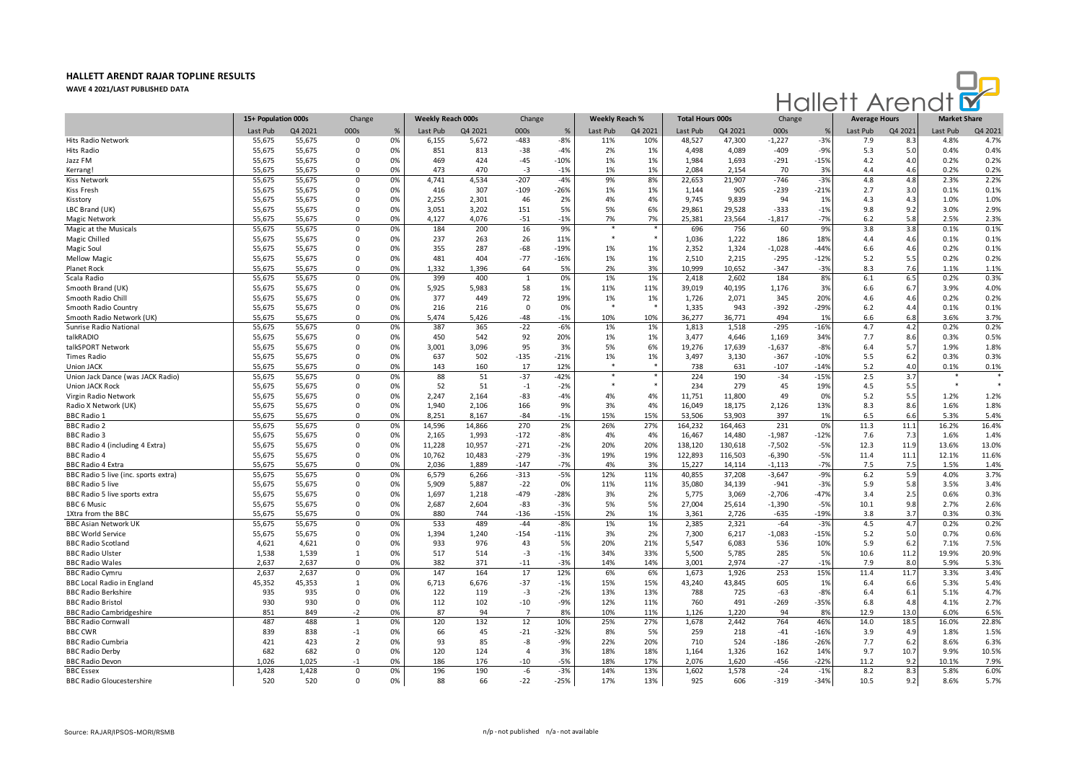

|                                      | 15+ Population 000s |         | Change         |      | Weekly Reach 000s |         | Change         |        | <b>Weekly Reach %</b> |         | <b>Total Hours 000s</b> |         | Change   |               | <b>Average Hours</b> |         | <b>Market Share</b> |         |
|--------------------------------------|---------------------|---------|----------------|------|-------------------|---------|----------------|--------|-----------------------|---------|-------------------------|---------|----------|---------------|----------------------|---------|---------------------|---------|
|                                      | Last Pub            | Q4 2021 | 000s           | $\%$ | Last Pub          | Q4 2021 | 000s           | %      | Last Pub              | Q4 2021 | Last Pub                | Q4 2021 | 000s     | $\frac{9}{2}$ | Last Pub             | Q4 2021 | Last Pub            | Q4 2021 |
| Hits Radio Network                   | 55,675              | 55,675  | $\Omega$       | 0%   | 6,155             | 5,672   | $-483$         | $-8%$  | 11%                   | 10%     | 48,527                  | 47,300  | $-1,227$ | $-3%$         | 7.9                  | 8.3     | 4.8%                | 4.7%    |
| Hits Radio                           | 55,675              | 55,675  | $\Omega$       | 0%   | 851               | 813     | $-38$          | $-4%$  | 2%                    | 1%      | 4,498                   | 4,089   | $-409$   | $-9%$         | 5.3                  | 5.0     | 0.4%                | 0.4%    |
| Jazz FM                              | 55,675              | 55,675  | 0              | 0%   | 469               | 424     | $-45$          | $-10%$ | 1%                    | 1%      | 1,984                   | 1,693   | $-291$   | $-15%$        | 4.2                  | 4.0     | 0.2%                | 0.2%    |
| Kerrang!                             | 55,675              | 55,675  | 0              | 0%   | 473               | 470     | $-3$           | $-1%$  | 1%                    | 1%      | 2,084                   | 2,154   | 70       | 3%            | 4.4                  | 4.6     | 0.2%                | 0.2%    |
| Kiss Network                         | 55,675              | 55,675  | $\mathbf 0$    | 0%   | 4,741             | 4,534   | $-207$         | $-4%$  | 9%                    | 8%      | 22,653                  | 21,907  | $-746$   | $-3%$         | 4.8                  | 4.8     | 2.3%                | 2.2%    |
| Kiss Fresh                           | 55,675              | 55,675  | $\Omega$       | 0%   | 416               | 307     | $-109$         | $-26%$ | 1%                    | 1%      | 1,144                   | 905     | $-239$   | $-21%$        | 2.7                  | 3.0     | 0.1%                | 0.1%    |
| Kisstory                             | 55,675              | 55,675  | 0              | 0%   | 2,255             | 2,301   | 46             | 2%     | 4%                    | 4%      | 9,745                   | 9,839   | 94       | 1%            | 4.3                  | 4.3     | 1.0%                | 1.0%    |
| LBC Brand (UK)                       | 55,675              | 55,675  | $\mathbf 0$    | 0%   | 3,051             | 3,202   | 151            | 5%     | 5%                    | 6%      | 29,861                  | 29,528  | $-333$   | $-1%$         | 9.8                  | 9.2     | 3.0%                | 2.9%    |
| <b>Magic Network</b>                 | 55,675              | 55,675  | $\mathbf 0$    | 0%   | 4,127             | 4,076   | $-51$          | $-1%$  | 7%                    | 7%      | 25,381                  | 23,564  | $-1,817$ | $-7%$         | 6.2                  | 5.8     | 2.5%                | 2.3%    |
| Magic at the Musicals                | 55.675              | 55,675  | $\Omega$       | 0%   | 184               | 200     | 16             | 9%     | $\ast$                |         | 696                     | 756     | 60       | 9%            | 3.8                  | 3.8     | 0.1%                | 0.1%    |
| Magic Chilled                        | 55,675              | 55,675  | $\Omega$       | 0%   | 237               | 263     | 26             | 11%    |                       | $\ast$  | 1,036                   | 1,222   | 186      | 18%           | 4.4                  | 4.6     | 0.1%                | 0.1%    |
| Magic Soul                           | 55,675              | 55,675  | 0              | 0%   | 355               | 287     | $-68$          | $-19%$ | 1%                    | 1%      | 2,352                   | 1,324   | $-1,028$ | $-44%$        | 6.6                  | 4.6     | 0.2%                | 0.1%    |
| <b>Mellow Magic</b>                  | 55,675              | 55,675  | $\Omega$       | 0%   | 481               | 404     | $-77$          | $-16%$ | 1%                    | 1%      | 2,510                   | 2,215   | $-295$   | $-12%$        | 5.2                  | 5.5     | 0.2%                | 0.2%    |
| Planet Rock                          | 55,675              | 55,675  | $\Omega$       | 0%   | 1,332             | 1,396   | 64             | 5%     | 2%                    | 3%      | 10,999                  | 10,652  | $-347$   | $-3%$         | 8.3                  | 7.6     | 1.1%                | 1.1%    |
| Scala Radio                          | 55,675              | 55,675  | $\Omega$       | 0%   | 399               | 400     | $\mathbf{1}$   | 0%     | 1%                    | 1%      | 2,418                   | 2,602   | 184      | 8%            | 6.1                  | 6.5     | 0.2%                | 0.3%    |
| Smooth Brand (UK)                    | 55,675              | 55,675  | $\mathbf 0$    | 0%   | 5,925             | 5,983   | 58             | 1%     | 11%                   | 11%     | 39,019                  | 40,195  | 1,176    | 3%            | 6.6                  | 6.7     | 3.9%                | 4.0%    |
| Smooth Radio Chil                    | 55,675              | 55,675  | $\Omega$       | 0%   | 377               | 449     | 72             | 19%    | 1%                    | 1%      | 1,726                   | 2,071   | 345      | 20%           | 4.6                  | 4.6     | 0.2%                | 0.2%    |
| Smooth Radio Country                 | 55,675              | 55,675  | 0              | 0%   | 216               | 216     | $\mathbf 0$    | 0%     |                       |         | 1,335                   | 943     | $-392$   | $-29%$        | 6.2                  | 4.4     | 0.1%                | 0.1%    |
| Smooth Radio Network (UK)            | 55,675              | 55,675  | $\Omega$       | 0%   | 5,474             | 5,426   | -48            | $-1%$  | 10%                   | 10%     | 36,277                  | 36,771  | 494      | 1%            | 6.6                  | 6.8     | 3.6%                | 3.7%    |
| Sunrise Radio National               | 55,675              | 55,675  | $\mathbf 0$    | 0%   | 387               | 365     | $-22$          | $-6%$  | 1%                    | 1%      | 1,813                   | 1,518   | $-295$   | $-16%$        | 4.7                  | 4.2     | 0.2%                | 0.2%    |
| talkRADIO                            | 55,675              | 55,675  | $\Omega$       | 0%   | 450               | 542     | 92             | 20%    | 1%                    | 1%      | 3,477                   | 4,646   | 1,169    | 34%           | 7.7                  | 8.6     | 0.3%                | 0.5%    |
| talkSPORT Network                    | 55,675              | 55,675  | $\Omega$       | 0%   | 3,001             | 3,096   | 95             | 3%     | 5%                    | 6%      | 19,276                  | 17,639  | $-1,637$ | $-8%$         | 6.4                  | 5.7     | 1.9%                | 1.8%    |
| <b>Times Radio</b>                   | 55,675              | 55,675  | $\Omega$       | 0%   | 637               | 502     | $-135$         | $-21%$ | 1%                    | 1%      | 3,497                   | 3,130   | $-367$   | $-10%$        | 5.5                  | 6.2     | 0.3%                | 0.3%    |
| <b>Union JACK</b>                    | 55,675              | 55,675  | $\Omega$       | 0%   | 143               | 160     | 17             | 12%    |                       |         | 738                     | 631     | $-107$   | $-14%$        | 5.2                  | 4.0     | 0.1%                | 0.1%    |
| Union Jack Dance (was JACK Radio)    | 55,675              | 55,675  | $\overline{0}$ | 0%   | 88                | 51      | $-37$          | $-42%$ | $\star$               |         | 224                     | 190     | $-34$    | $-15%$        | 2.5                  | 3.7     |                     |         |
| <b>Union JACK Rock</b>               | 55,675              | 55,675  | $\Omega$       | 0%   | 52                | 51      | $-1$           | $-2%$  |                       | $\ast$  | 234                     | 279     | 45       | 19%           | 4.5                  | 5.5     | $\ast$              |         |
| Virgin Radio Network                 | 55,675              | 55,675  | 0              | 0%   | 2,247             | 2,164   | $-83$          | $-4%$  | 4%                    | 4%      | 11,751                  | 11,800  | 49       | 0%            | 5.2                  | 5.5     | 1.2%                | 1.2%    |
| Radio X Network (UK)                 | 55,675              | 55,675  | $\Omega$       | 0%   | 1,940             | 2,106   | 166            | 9%     | 3%                    | 4%      | 16,049                  | 18,175  | 2,126    | 13%           | 8.3                  | 8.6     | 1.6%                | 1.8%    |
| <b>BBC Radio 1</b>                   | 55,675              | 55,675  | $\Omega$       | 0%   | 8,251             | 8,167   | $-84$          | $-1%$  | 15%                   | 15%     | 53,506                  | 53,903  | 397      | 1%            | 6.5                  | 6.6     | 5.3%                | 5.4%    |
| <b>BBC Radio 2</b>                   | 55,675              | 55,675  | $\mathbf 0$    | 0%   | 14,596            | 14,866  | 270            | 2%     | 26%                   | 27%     | 164,232                 | 164,463 | 231      | 0%            | 11.3                 | 11.1    | 16.2%               | 16.4%   |
| <b>BBC Radio 3</b>                   | 55,675              | 55,675  | $\Omega$       | 0%   | 2,165             | 1,993   | $-172$         | $-8%$  | 4%                    | 4%      | 16,467                  | 14,480  | $-1,987$ | $-12%$        | 7.6                  | 7.3     | 1.6%                | 1.4%    |
| BBC Radio 4 (including 4 Extra)      | 55,675              | 55,675  | 0              | 0%   | 11,228            | 10,957  | $-271$         | $-2%$  | 20%                   | 20%     | 138,120                 | 130,618 | $-7,502$ | $-5%$         | 12.3                 | 11.9    | 13.6%               | 13.0%   |
| <b>BBC Radio 4</b>                   | 55,675              | 55,675  | 0              | 0%   | 10,762            | 10,483  | $-279$         | $-3%$  | 19%                   | 19%     | 122,893                 | 116,503 | $-6,390$ | $-5%$         | 11.4                 | 11.1    | 12.1%               | 11.6%   |
| <b>BBC Radio 4 Extra</b>             | 55,675              | 55,675  | $\Omega$       | 0%   | 2,036             | 1,889   | $-147$         | $-7%$  | 4%                    | 3%      | 15,227                  | 14,114  | $-1,113$ | $-7%$         | 7.5                  | 7.5     | 1.5%                | 1.4%    |
| BBC Radio 5 live (inc. sports extra) | 55,675              | 55,675  | $\Omega$       | 0%   | 6,579             | 6,266   | $-313$         | $-5%$  | 12%                   | 11%     | 40,855                  | 37,208  | $-3,647$ | $-9%$         | 6.2                  | 5.9     | 4.0%                | 3.7%    |
| <b>BBC Radio 5 live</b>              | 55,675              | 55,675  | $\Omega$       | 0%   | 5,909             | 5,887   | $-22$          | 0%     | 11%                   | 11%     | 35,080                  | 34,139  | $-941$   | $-3%$         | 5.9                  | 5.8     | 3.5%                | 3.4%    |
| BBC Radio 5 live sports extra        | 55,675              | 55,675  | $\Omega$       | 0%   | 1,697             | 1.218   | $-479$         | $-28%$ | 3%                    | 2%      | 5,775                   | 3,069   | $-2,706$ | $-47%$        | 3.4                  | 2.5     | 0.6%                | 0.3%    |
| <b>BBC 6 Music</b>                   | 55,675              | 55,675  | $\Omega$       | 0%   | 2,687             | 2,604   | $-83$          | $-3%$  | 5%                    | 5%      | 27,004                  | 25,614  | $-1,390$ | $-5%$         | 10.1                 | 9.8     | 2.7%                | 2.6%    |
| 1Xtra from the BBC                   | 55,675              | 55,675  | $\Omega$       | 0%   | 880               | 744     | $-136$         | $-15%$ | 2%                    | 1%      | 3,361                   | 2,726   | $-635$   | $-19%$        | 3.8                  | 3.7     | 0.3%                | 0.3%    |
| <b>BBC Asian Network UK</b>          | 55,675              | 55,675  | $\mathbf 0$    | 0%   | 533               | 489     | $-44$          | $-8%$  | 1%                    | 1%      | 2,385                   | 2,321   | $-64$    | $-3%$         | 4.5                  | 4.7     | 0.2%                | 0.2%    |
| <b>BBC World Service</b>             | 55,675              | 55,675  | $\mathbf 0$    | 0%   | 1,394             | 1,240   | $-154$         | $-11%$ | 3%                    | 2%      | 7,300                   | 6,217   | $-1,083$ | $-15%$        | 5.2                  | 5.0     | 0.7%                | 0.6%    |
| <b>BBC Radio Scotland</b>            | 4,621               | 4,621   | 0              | 0%   | 933               | 976     | 43             | 5%     | 20%                   | 21%     | 5,547                   | 6,083   | 536      | 10%           | 5.9                  | 6.2     | 7.1%                | 7.5%    |
| <b>BBC Radio Ulster</b>              | 1,538               | 1,539   | 1              | 0%   | 517               | 514     | $-3$           | $-1%$  | 34%                   | 33%     | 5,500                   | 5,785   | 285      | 5%            | 10.6                 | 11.2    | 19.9%               | 20.9%   |
| <b>BBC Radio Wales</b>               | 2,637               | 2,637   | $\Omega$       | 0%   | 382               | 371     | $-11$          | $-3%$  | 14%                   | 14%     | 3,001                   | 2,974   | $-27$    | $-1%$         | 7.9                  | 8.0     | 5.9%                | 5.3%    |
| <b>BBC Radio Cymru</b>               | 2,637               | 2,637   | $\Omega$       | 0%   | 147               | 164     | 17             | 12%    | 6%                    | 6%      | 1,673                   | 1,926   | 253      | 15%           | 11.4                 | 11.7    | 3.3%                | 3.4%    |
| <b>BBC Local Radio in England</b>    | 45,352              | 45,353  | $\mathbf{1}$   | 0%   | 6,713             | 6,676   | $-37$          | $-1%$  | 15%                   | 15%     | 43,240                  | 43,845  | 605      | 1%            | 6.4                  | 6.6     | 5.3%                | 5.4%    |
| <b>BBC Radio Berkshire</b>           | 935                 | 935     | $\Omega$       | 0%   | 122               | 119     | $-3$           | $-2%$  | 13%                   | 13%     | 788                     | 725     | $-63$    | $-8%$         | 6.4                  | 6.1     | 5.1%                | 4.7%    |
| <b>BBC Radio Bristol</b>             | 930                 | 930     | $\mathsf 0$    | 0%   | 112               | 102     | $-10$          | $-9%$  | 12%                   | 11%     | 760                     | 491     | $-269$   | $-35%$        | 6.8                  | 4.8     | 4.1%                | 2.7%    |
| <b>BBC Radio Cambridgeshire</b>      | 851                 | 849     | $-2$           | 0%   | 87                | 94      | $\overline{7}$ | 8%     | 10%                   | 11%     | 1,126                   | 1,220   | 94       | 8%            | 12.9                 | 13.0    | 6.0%                | 6.5%    |
| <b>BBC Radio Cornwall</b>            | 487                 | 488     | $\mathbf{1}$   | 0%   | 120               | 132     | 12             | 10%    | 25%                   | 27%     | 1,678                   | 2,442   | 764      | 46%           | 14.0                 | 18.5    | 16.0%               | 22.8%   |
| <b>BBC CWR</b>                       | 839                 | 838     | $-1$           | 0%   | 66                | 45      | $-21$          | $-32%$ | 8%                    | 5%      | 259                     | 218     | $-41$    | $-16%$        | 3.9                  | 4.9     | 1.8%                | 1.5%    |
| <b>BBC Radio Cumbria</b>             | 421                 | 423     | $\overline{2}$ | 0%   | 93                | 85      | -8             | $-9%$  | 22%                   | 20%     | 710                     | 524     | $-186$   | $-26%$        | 7.7                  | 6.2     | 8.6%                | 6.3%    |
| <b>BBC Radio Derby</b>               | 682                 | 682     | $\Omega$       | 0%   | 120               | 124     | $\overline{a}$ | 3%     | 18%                   | 18%     | 1,164                   | 1,326   | 162      | 14%           | 9.7                  | 10.7    | 9.9%                | 10.5%   |
| <b>BBC Radio Devon</b>               | 1,026               | 1,025   | $-1$           | 0%   | 186               | 176     | -10            | $-5%$  | 18%                   | 17%     | 2,076                   | 1,620   | $-456$   | $-22%$        | 11.2                 | 9.2     | 10.1%               | 7.9%    |
| <b>BBC</b> Essex                     | 1,428               | 1,428   | $\mathbf 0$    | 0%   | 196               | 190     | -6             | $-3%$  | 14%                   | 13%     | 1,602                   | 1,578   | $-24$    | $-1%$         | 8.2                  | 8.3     | 5.8%                | 6.0%    |
| <b>BBC Radio Gloucestershire</b>     | 520                 | 520     | $\mathbf 0$    | 0%   | 88                | 66      | $-22$          | -25%   | 17%                   | 13%     | 925                     | 606     | $-319$   | $-34%$        | 10.5                 | 9.2     | 8.6%                | 5.7%    |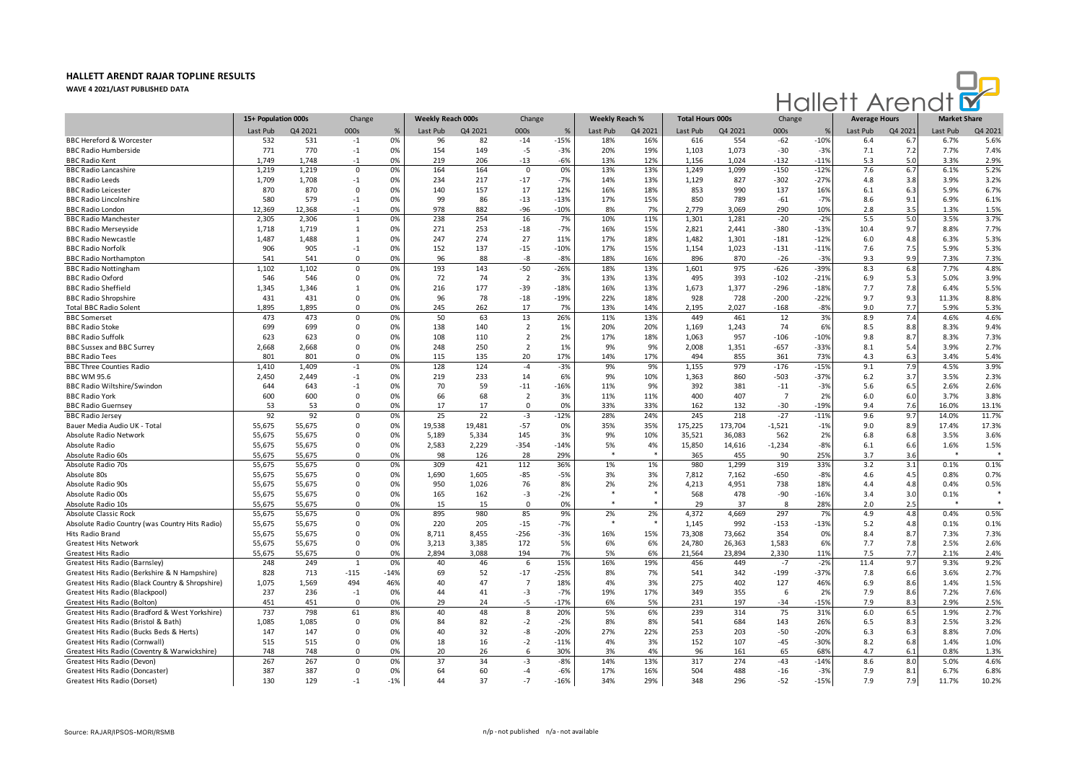

|                                                  | 15+ Population 000s |         | Change       |        | Weekly Reach 000s |         | Change         |        | <b>Weekly Reach %</b> |         | <b>Total Hours 000s</b> |         | Change         |               | <b>Average Hours</b> |         | <b>Market Share</b> |         |
|--------------------------------------------------|---------------------|---------|--------------|--------|-------------------|---------|----------------|--------|-----------------------|---------|-------------------------|---------|----------------|---------------|----------------------|---------|---------------------|---------|
|                                                  | Last Pub            | Q4 2021 | 000s         | $\%$   | Last Pub          | Q4 2021 | 000s           | %      | Last Pub              | Q4 2021 | Last Pub                | Q4 2021 | 000s           | $\frac{9}{6}$ | Last Pub             | Q4 2021 | Last Pub            | Q4 2021 |
| <b>BBC Hereford &amp; Worcester</b>              | 532                 | 531     | $-1$         | 0%     | 96                | 82      | $-14$          | $-15%$ | 18%                   | 16%     | 616                     | 554     | $-62$          | $-10%$        | 6.4                  | 6.7     | 6.7%                | 5.6%    |
| <b>BBC Radio Humberside</b>                      | 771                 | 770     | $-1$         | 0%     | 154               | 149     | $-5$           | $-3%$  | 20%                   | 19%     | 1,103                   | 1,073   | $-30$          | $-3%$         | 7.1                  | 7.2     | 7.7%                | 7.4%    |
| <b>BBC Radio Kent</b>                            | 1,749               | 1,748   | $-1$         | 0%     | 219               | 206     | $-13$          | $-6%$  | 13%                   | 12%     | 1,156                   | 1,024   | $-132$         | $-11%$        | 5.3                  | 5.0     | 3.3%                | 2.9%    |
| <b>BBC Radio Lancashire</b>                      | 1,219               | 1,219   | $\mathbf 0$  | 0%     | 164               | 164     | $\mathsf 0$    | 0%     | 13%                   | 13%     | 1,249                   | 1,099   | $-150$         | $-12%$        | 7.6                  | 6.7     | 6.1%                | 5.2%    |
| <b>BBC Radio Leeds</b>                           | 1,709               | 1,708   | $-1$         | 0%     | 234               | 217     | $-17$          | $-7%$  | 14%                   | 13%     | 1,129                   | 827     | $-302$         | $-27%$        | 4.8                  | 3.8     | 3.9%                | 3.2%    |
| <b>BBC Radio Leicester</b>                       | 870                 | 870     | $\Omega$     | 0%     | 140               | 157     | 17             | 12%    | 16%                   | 18%     | 853                     | 990     | 137            | 16%           | 6.1                  | 6.3     | 5.9%                | 6.7%    |
| <b>BBC Radio Lincolnshire</b>                    | 580                 | 579     | $-1$         | 0%     | 99                | 86      | $-13$          | $-13%$ | 17%                   | 15%     | 850                     | 789     | $-61$          | $-7%$         | 8.6                  | 9.1     | 6.9%                | 6.1%    |
| <b>BBC Radio London</b>                          | 12.369              | 12.368  | $-1$         | 0%     | 978               | 882     | $-96$          | $-10%$ | 8%                    | 7%      | 2.779                   | 3,069   | 290            | 10%           | 2.8                  | 3.5     | 1.3%                | 1.5%    |
| <b>BBC Radio Manchester</b>                      | 2,305               | 2,306   | $\mathbf{1}$ | 0%     | 238               | 254     | 16             | 7%     | 10%                   | 11%     | 1,301                   | 1,281   | $-20$          | $-2%$         | 5.5                  | 5.0     | 3.5%                | 3.7%    |
| <b>BBC Radio Merseyside</b>                      | 1,718               | 1,719   | $\mathbf{1}$ | 0%     | 271               | 253     | $-18$          | $-7%$  | 16%                   | 15%     | 2,821                   | 2,441   | $-380$         | $-13%$        | 10.4                 | 9.7     | 8.8%                | 7.7%    |
| <b>BBC Radio Newcastle</b>                       | 1,487               | 1,488   | 1            | 0%     | 247               | 274     | 27             | 11%    | 17%                   | 18%     | 1,482                   | 1,301   | $-181$         | $-12%$        | 6.0                  | 4.8     | 6.3%                | 5.3%    |
| <b>BBC Radio Norfolk</b>                         | 906                 | 905     | $-1$         | 0%     | 152               | 137     | $-15$          | $-10%$ | 17%                   | 15%     | 1,154                   | 1,023   | $-131$         | $-11%$        | 7.6                  | 7.5     | 5.9%                | 5.3%    |
| <b>BBC Radio Northampton</b>                     | 541                 | 541     | $\mathbf 0$  | 0%     | 96                | 88      | $-8$           | $-8%$  | 18%                   | 16%     | 896                     | 870     | $-26$          | $-3%$         | 9.3                  | 9.9     | 7.3%                | 7.3%    |
| <b>BBC Radio Nottingham</b>                      | 1,102               | 1,102   | $\Omega$     | 0%     | 193               | 143     | $-50$          | $-26%$ | 18%                   | 13%     | 1,601                   | 975     | $-626$         | -39%          | 8.3                  | 6.8     | 7.7%                | 4.8%    |
| <b>BBC Radio Oxford</b>                          | 546                 | 546     | $\Omega$     | 0%     | 72                | 74      | $\overline{2}$ | 3%     | 13%                   | 13%     | 495                     | 393     | $-102$         | $-21%$        | 6.9                  | 5.3     | 5.0%                | 3.9%    |
| <b>BBC Radio Sheffield</b>                       | 1.345               | 1,346   | 1            | 0%     | 216               | 177     | $-39$          | $-18%$ | 16%                   | 13%     | 1,673                   | 1,377   | $-296$         | $-18%$        | 7.7                  | 7.8     | 6.4%                | 5.5%    |
| <b>BBC Radio Shropshire</b>                      | 431                 | 431     | 0            | 0%     | 96                | 78      | $-18$          | $-19%$ | 22%                   | 18%     | 928                     | 728     | $-200$         | $-22%$        | 9.7                  | 9.3     | 11.3%               | 8.8%    |
| <b>Total BBC Radio Solent</b>                    | 1,895               | 1,895   | $\Omega$     | 0%     | 245               | 262     | 17             | 7%     | 13%                   | 14%     | 2,195                   | 2,027   | $-168$         | $-8%$         | 9.0                  | 7.7     | 5.9%                | 5.3%    |
| <b>BBC</b> Somerset                              | 473                 | 473     | 0            | 0%     | 50                | 63      | 13             | 26%    | 11%                   | 13%     | 449                     | 461     | 12             | 3%            | 8.9                  | 7.4     | 4.6%                | 4.6%    |
| <b>BBC Radio Stoke</b>                           | 699                 | 699     | $\Omega$     | 0%     | 138               | 140     | $\overline{2}$ | 1%     | 20%                   | 20%     | 1,169                   | 1,243   | 74             | 6%            | 8.5                  | 8.8     | 8.3%                | 9.4%    |
| <b>BBC Radio Suffolk</b>                         | 623                 | 623     | $\Omega$     | 0%     | 108               | 110     | $\overline{2}$ | 2%     | 17%                   | 18%     | 1,063                   | 957     | $-106$         | $-10%$        | 9.8                  | 8.7     | 8.3%                | 7.3%    |
| <b>BBC Sussex and BBC Surrey</b>                 | 2,668               | 2,668   | $\Omega$     | 0%     | 248               | 250     | $\overline{2}$ | 1%     | 9%                    | 9%      | 2,008                   | 1,351   | $-657$         | $-33%$        | 8.1                  | 5.4     | 3.9%                | 2.7%    |
| <b>BBC Radio Tees</b>                            | 801                 | 801     | $\Omega$     | 0%     | 115               | 135     | 20             | 17%    | 14%                   | 17%     | 494                     | 855     | 361            | 73%           | 4.3                  | 6.3     | 3.4%                | 5.4%    |
| <b>BBC Three Counties Radio</b>                  | 1,410               | 1,409   | $-1$         | 0%     | 128               | 124     | $-4$           | $-3%$  | 9%                    | 9%      | 1,155                   | 979     | $-176$         | $-15%$        | 9.1                  | 7.9     | 4.5%                | 3.9%    |
| <b>BBC WM 95.6</b>                               | 2,450               | 2,449   | $-1$         | 0%     | 219               | 233     | 14             | 6%     | 9%                    | 10%     | 1,363                   | 860     | $-503$         | $-37%$        | 6.2                  | 3.7     | 3.5%                | 2.3%    |
| <b>BBC Radio Wiltshire/Swindon</b>               | 644                 | 643     | $-1$         | 0%     | 70                | 59      | $-11$          | $-16%$ | 11%                   | 9%      | 392                     | 381     | $-11$          | $-3%$         | 5.6                  | 6.5     | 2.6%                | 2.6%    |
| <b>BBC Radio York</b>                            | 600                 | 600     | $\mathbf 0$  | 0%     | 66                | 68      | $\overline{2}$ | 3%     | 11%                   | 11%     | 400                     | 407     | $\overline{7}$ | 2%            | 6.0                  | 6.0     | 3.7%                | 3.8%    |
| <b>BBC Radio Guernsey</b>                        | 53                  | 53      | $\Omega$     | 0%     | 17                | 17      | $\Omega$       | 0%     | 33%                   | 33%     | 162                     | 132     | $-30$          | $-19%$        | 9.4                  | 7.6     | 16.0%               | 13.1%   |
| <b>BBC Radio Jersey</b>                          | 92                  | 92      | $\mathbf 0$  | 0%     | 25                | 22      | $-3$           | $-12%$ | 28%                   | 24%     | 245                     | 218     | $-27$          | $-11%$        | 9.6                  | 9.7     | 14.0%               | 11.7%   |
| Bauer Media Audio UK - Total                     | 55,675              | 55,675  | 0            | 0%     | 19,538            | 19.481  | $-57$          | 0%     | 35%                   | 35%     | 175,225                 | 173,704 | $-1,521$       | $-1%$         | 9.0                  | 8.9     | 17.4%               | 17.3%   |
| Absolute Radio Network                           | 55,675              | 55,675  | 0            | 0%     | 5,189             | 5,334   | 145            | 3%     | 9%                    | 10%     | 35,521                  | 36,083  | 562            | 2%            | 6.8                  | 6.8     | 3.5%                | 3.6%    |
| Absolute Radio                                   | 55,675              | 55,675  | 0            | 0%     | 2,583             | 2,229   | $-354$         | $-14%$ | 5%                    | 4%      | 15,850                  | 14,616  | $-1,234$       | $-8%$         | 6.1                  | 6.6     | 1.6%                | 1.5%    |
| Absolute Radio 60s                               | 55,675              | 55,675  | $\Omega$     | 0%     | 98                | 126     | 28             | 29%    |                       |         | 365                     | 455     | 90             | 25%           | 3.7                  | 3.6     | -8                  |         |
| Absolute Radio 70s                               | 55,675              | 55,675  | $\mathbf 0$  | 0%     | 309               | 421     | 112            | 36%    | 1%                    | 1%      | 980                     | 1,299   | 319            | 33%           | 3.2                  | 3.1     | 0.1%                | 0.1%    |
| Absolute 80s                                     | 55,675              | 55,675  | 0            | 0%     | 1,690             | 1.605   | $-85$          | $-5%$  | 3%                    | 3%      | 7.812                   | 7,162   | $-650$         | $-8%$         | 4.6                  | 4.5     | 0.8%                | 0.7%    |
| Absolute Radio 90s                               | 55,675              | 55,675  | $\Omega$     | 0%     | 950               | 1,026   | 76             | 8%     | 2%                    | 2%      | 4,213                   | 4,951   | 738            | 18%           | 4.4                  | 4.8     | 0.4%                | 0.5%    |
| Absolute Radio 00s                               | 55,675              | 55,675  | $\Omega$     | 0%     | 165               | 162     | $-3$           | $-2%$  |                       |         | 568                     | 478     | $-90$          | $-16%$        | 3.4                  | 3.0     | 0.1%                |         |
| Absolute Radio 10s                               | 55,675              | 55,675  | $\Omega$     | 0%     | 15                | 15      | $\Omega$       | 0%     | $\bullet$             |         | 29                      | 37      | 8              | 28%           | 2.0                  | 2.5     | $\bullet$           | $\ast$  |
| Absolute Classic Rock                            | 55,675              | 55,675  | $\mathbf 0$  | 0%     | 895               | 980     | 85             | 9%     | 2%                    | 2%      | 4,372                   | 4,669   | 297            | 7%            | 4.9                  | 4.8     | 0.4%                | 0.5%    |
| Absolute Radio Country (was Country Hits Radio)  | 55,675              | 55,675  | $\Omega$     | 0%     | 220               | 205     | $-15$          | $-7%$  | -8                    |         | 1,145                   | 992     | $-153$         | $-13%$        | 5.2                  | 4.8     | 0.1%                | 0.1%    |
| Hits Radio Brand                                 | 55,675              | 55,675  | 0            | 0%     | 8,711             | 8,455   | $-256$         | $-3%$  | 16%                   | 15%     | 73,308                  | 73,662  | 354            | 0%            | 8.4                  | 8.7     | 7.3%                | 7.3%    |
| <b>Greatest Hits Network</b>                     | 55,675              | 55,675  | $\Omega$     | 0%     | 3,213             | 3,385   | 172            | 5%     | 6%                    | 6%      | 24,780                  | 26,363  | 1,583          | 6%            | 7.7                  | 7.8     | 2.5%                | 2.6%    |
| <b>Greatest Hits Radio</b>                       | 55,675              | 55,675  | $\Omega$     | 0%     | 2,894             | 3,088   | 194            | 7%     | 5%                    | 6%      | 21,564                  | 23,894  | 2,330          | 11%           | 7.5                  | 7.7     | 2.1%                | 2.4%    |
| Greatest Hits Radio (Barnsley)                   | 248                 | 249     | 1            | 0%     | 40                | 46      | 6              | 15%    | 16%                   | 19%     | 456                     | 449     | $-7$           | $-2%$         | 11.4                 | 9.7     | 9.3%                | 9.2%    |
| Greatest Hits Radio (Berkshire & N Hampshire)    | 828                 | 713     | $-115$       | $-14%$ | 69                | 52      | $-17$          | $-25%$ | 8%                    | 7%      | 541                     | 342     | $-199$         | $-37%$        | 7.8                  | 6.6     | 3.6%                | 2.7%    |
| Greatest Hits Radio (Black Country & Shropshire) | 1,075               | 1,569   | 494          | 46%    | 40                | 47      | $\overline{7}$ | 18%    | 4%                    | 3%      | 275                     | 402     | 127            | 46%           | 6.9                  | 8.6     | 1.4%                | 1.5%    |
| Greatest Hits Radio (Blackpool)                  | 237                 | 236     | $-1$         | 0%     | 44                | 41      | -3             | $-7%$  | 19%                   | 17%     | 349                     | 355     | 6              | 2%            | 7.9                  | 8.6     | 7.2%                | 7.6%    |
| Greatest Hits Radio (Bolton)                     | 451                 | 451     | $\mathbf 0$  | 0%     | 29                | 24      | -5             | $-17%$ | 6%                    | 5%      | 231                     | 197     | $-34$          | $-15%$        | 7.9                  | 8.3     | 2.9%                | 2.5%    |
| Greatest Hits Radio (Bradford & West Yorkshire)  | 737                 | 798     | 61           | 8%     | 40                | 48      | 8              | 20%    | 5%                    | 6%      | 239                     | 314     | 75             | 31%           | 6.0                  | 6.5     | 1.9%                | 2.7%    |
| Greatest Hits Radio (Bristol & Bath)             | 1.085               | 1,085   | $\Omega$     | 0%     | 84                | 82      | $-2$           | $-2%$  | 8%                    | 8%      | 541                     | 684     | 143            | 26%           | 6.5                  | 8.3     | 2.5%                | 3.2%    |
| Greatest Hits Radio (Bucks Beds & Herts)         | 147                 | 147     | $\Omega$     | 0%     | 40                | 32      | -8             | $-20%$ | 27%                   | 22%     | 253                     | 203     | $-50$          | $-20%$        | 6.3                  | 6.3     | 8.8%                | 7.0%    |
| Greatest Hits Radio (Cornwall)                   | 515                 | 515     | $\Omega$     | 0%     | 18                | 16      | $-2$           | $-11%$ | 4%                    | 3%      | 152                     | 107     | $-45$          | $-30%$        | 8.2                  | 6.8     | 1.4%                | 1.0%    |
| Greatest Hits Radio (Coventry & Warwickshire)    | 748                 | 748     | 0            | 0%     | 20                | 26      | 6              | 30%    | 3%                    | 4%      | 96                      | 161     | 65             | 68%           | 4.7                  | 6.1     | 0.8%                | 1.3%    |
| Greatest Hits Radio (Devon)                      | 267                 | 267     | 0            | 0%     | 37                | 34      | -3             | $-8%$  | 14%                   | 13%     | 317                     | 274     | $-43$          | $-14%$        | 8.6                  | 8.0     | 5.0%                | 4.6%    |
| Greatest Hits Radio (Doncaster)                  | 387                 | 387     | 0            | 0%     | 64                | 60      | $-4$           | $-6%$  | 17%                   | 16%     | 504                     | 488     | $-16$          | $-3%$         | 7.9                  | 8.1     | 6.7%                | 6.8%    |
| Greatest Hits Radio (Dorset)                     | 130                 | 129     | $-1$         | $-1%$  | 44                | 37      | $-7$           | $-16%$ | 34%                   | 29%     | 348                     | 296     | $-52$          | $-15%$        | 7.9                  | 7.9     | 11.7%               | 10.2%   |
|                                                  |                     |         |              |        |                   |         |                |        |                       |         |                         |         |                |               |                      |         |                     |         |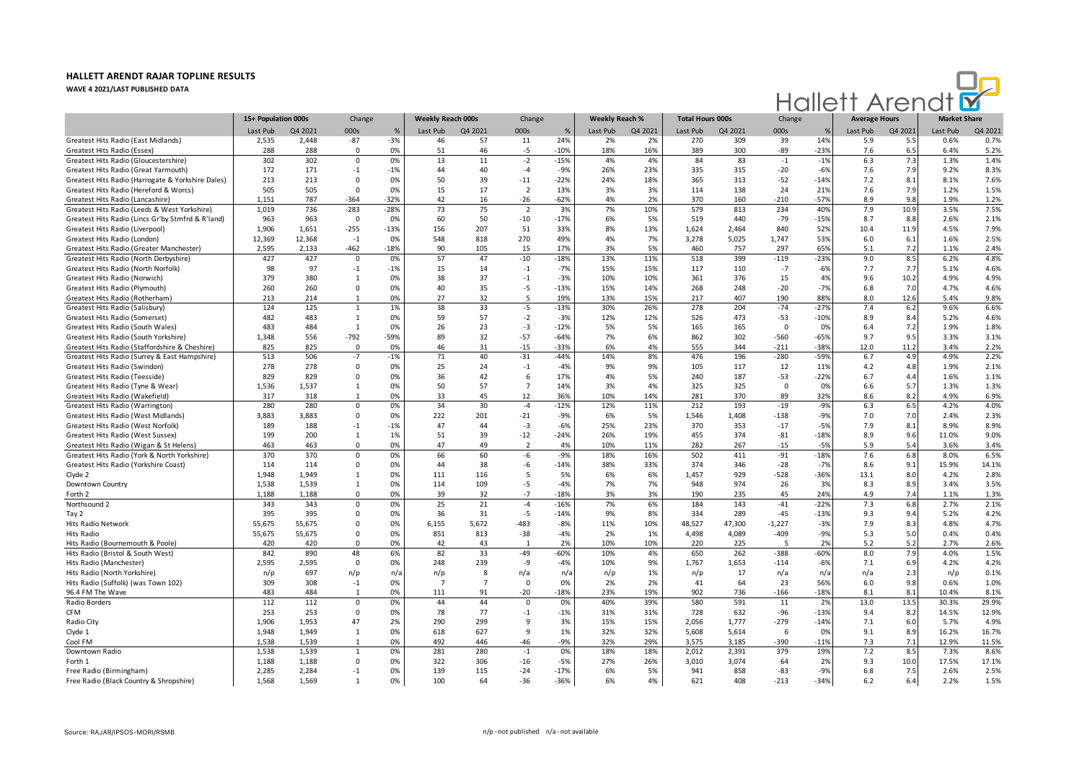

|                                                                                         | 15+ Population 000s |         | Change         |        | Weekly Reach 000s |                | Change         |        | <b>Weekly Reach %</b> |         | <b>Total Hours 000s</b> |         | Change      |               | <b>Average Hours</b> |         | <b>Market Share</b> |         |
|-----------------------------------------------------------------------------------------|---------------------|---------|----------------|--------|-------------------|----------------|----------------|--------|-----------------------|---------|-------------------------|---------|-------------|---------------|----------------------|---------|---------------------|---------|
|                                                                                         | Last Pub            | Q4 2021 | 000s           | $\%$   | Last Pub          | Q4 2021        | 000s           | %      | Last Pub              | Q4 2021 | Last Pub                | Q4 2021 | 000s        | $\frac{9}{2}$ | Last Pub             | Q4 2021 | Last Pub            | Q4 2021 |
| Greatest Hits Radio (East Midlands)                                                     | 2,535               | 2.448   | $-87$          | $-3%$  | 46                | 57             | 11             | 24%    | 2%                    | 2%      | 270                     | 309     | 39          | 14%           | 5.9                  | 5.5     | 0.6%                | 0.7%    |
| Greatest Hits Radio (Essex)                                                             | 288                 | 288     | $\mathbf 0$    | 0%     | 51                | 46             | $-5$           | $-10%$ | 18%                   | 16%     | 389                     | 300     | -89         | $-23%$        | 7.6                  | 6.5     | 6.4%                | 5.2%    |
| Greatest Hits Radio (Gloucestershire)                                                   | 302                 | 302     | $\mathbf 0$    | 0%     | 13                | 11             | $-2$           | $-15%$ | 4%                    | 4%      | 84                      | 83      | $-1$        | $-1%$         | 6.3                  | 7.3     | 1.3%                | 1.4%    |
| Greatest Hits Radio (Great Yarmouth)                                                    | 172                 | 171     | $-1$           | $-1%$  | 44                | 40             | $-4$           | $-9%$  | 26%                   | 23%     | 335                     | 315     | -20         | $-6%$         | 7.6                  | 7.9     | 9.2%                | 8.3%    |
| Greatest Hits Radio (Harrogate & Yorkshire Dales)                                       | 213                 | 213     | $\mathbf 0$    | 0%     | 50                | 39             | $-11$          | $-22%$ | 24%                   | 18%     | 365                     | 313     | $-52$       | $-14%$        | 7.2                  | 8.1     | 8.1%                | 7.6%    |
| Greatest Hits Radio (Hereford & Worcs)                                                  | 505                 | 505     | $\mathbf 0$    | 0%     | 15                | 17             | $\overline{2}$ | 13%    | 3%                    | 3%      | 114                     | 138     | 24          | 21%           | 7.6                  | 7.9     | 1.2%                | 1.5%    |
| Greatest Hits Radio (Lancashire)                                                        | 1,151               | 787     | $-364$         | $-32%$ | 42                | 16             | $-26$          | $-62%$ | 4%                    | 2%      | 370                     | 160     | $-210$      | $-57%$        | 8.9                  | 9.8     | 1.9%                | 1.2%    |
| Greatest Hits Radio (Leeds & West Yorkshire)                                            | 1,019               | 736     | $-283$         | $-28%$ | 73                | 75             | $\overline{2}$ | 3%     | 7%                    | 10%     | 579                     | 813     | 234         | 40%           | 7.9                  | 10.9    | 3.5%                | 7.5%    |
| Greatest Hits Radio (Lincs Gr'by Stmfrd & R'land)                                       | 963                 | 963     | 0              | 0%     | 60                | 50             | $-10$          | $-17%$ | 6%                    | 5%      | 519                     | 440     | $-79$       | $-15%$        | 8.7                  | 8.8     | 2.6%                | 2.1%    |
| Greatest Hits Radio (Liverpool)                                                         | 1.906               | 1,651   | $-255$         | $-13%$ | 156               | 207            | 51             | 33%    | 8%                    | 13%     | 1,624                   | 2,464   | 840         | 52%           | 10.4                 | 11.9    | 4.5%                | 7.9%    |
| Greatest Hits Radio (London)                                                            | 12,369              | 12,368  | $-1$           | 0%     | 548               | 818            | 270            | 49%    | 4%                    | 7%      | 3,278                   | 5,025   | 1,747       | 53%           | 6.0                  | 6.1     | 1.6%                | 2.5%    |
| Greatest Hits Radio (Greater Manchester)                                                | 2,595               | 2,133   | $-462$         | $-18%$ | 90                | 105            | 15             | 17%    | 3%                    | 5%      | 460                     | 757     | 297         | 65%           | 5.1                  | 7.2     | 1.1%                | 2.4%    |
| Greatest Hits Radio (North Derbyshire)                                                  | 427                 | 427     | $\mathbf 0$    | 0%     | 57                | 47             | $-10$          | $-18%$ | 13%                   | 11%     | 518                     | 399     | $-119$      | $-23%$        | 9.0                  | 8.5     | 6.2%                | 4.8%    |
| Greatest Hits Radio (North Norfolk)                                                     | 98                  | 97      | $-1$           | $-1%$  | 15                | 14             | $-1$           | $-7%$  | 15%                   | 15%     | 117                     | 110     | $-7$        | $-6%$         | 7.7                  | 7.7     | 5.1%                | 4.6%    |
| Greatest Hits Radio (Norwich)                                                           | 379                 | 380     | $\mathbf{1}$   | 0%     | 38                | 37             | $-1$           | $-3%$  | 10%                   | 10%     | 361                     | 376     | 15          | 4%            | 9.6                  | 10.2    | 4.9%                | 4.9%    |
| Greatest Hits Radio (Plymouth)                                                          | 260                 | 260     | $\mathbf 0$    | 0%     | 40                | 35             | -5             | $-13%$ | 15%                   | 14%     | 268                     | 248     | $-20$       | $-7%$         | 6.8                  | 7.0     | 4.7%                | 4.6%    |
| Greatest Hits Radio (Rotherham)                                                         | 213                 | 214     | 1              | 0%     | 27                | 32             | 5              | 19%    | 13%                   | 15%     | 217                     | 407     | 190         | 88%           | 8.0                  | 12.6    | 5.4%                | 9.8%    |
| Greatest Hits Radio (Salisbury)                                                         | 124                 | 125     | $\mathbf{1}$   | 1%     | 38                | 33             | -5             | $-13%$ | 30%                   | 26%     | 278                     | 204     | $-74$       | $-27%$        | 7.4                  | 6.2     | 9.6%                | 6.6%    |
| Greatest Hits Radio (Somerset)                                                          | 482                 | 483     | 1              | 0%     | 59                | 57             | $-2$           | $-3%$  | 12%                   | 12%     | 526                     | 473     | $-53$       | $-10%$        | 8.9                  | 8.4     | 5.2%                | 4.6%    |
|                                                                                         | 483                 | 484     | $\mathbf{1}$   | 0%     | 26                | 23             | $-3$           | $-12%$ | 5%                    | 5%      |                         | 165     | $\mathbf 0$ | 0%            |                      | 7.2     | 1.9%                | 1.8%    |
| Greatest Hits Radio (South Wales)                                                       | 1,348               | 556     | $-792$         | -59%   | 89                | 32             | $-57$          | $-64%$ | 7%                    | 6%      | 165<br>862              | 302     | -560        | $-65%$        | 6.4<br>9.7           | 9.5     | 3.3%                | 3.1%    |
| Greatest Hits Radio (South Yorkshire)<br>Greatest Hits Radio (Staffordshire & Cheshire) | 825                 | 825     | $\mathbf 0$    | 0%     | 46                | 31             | $-15$          | $-33%$ | 6%                    | 4%      | 555                     | 344     | $-211$      | $-38%$        | 12.0                 | 11.2    | 3.4%                | 2.2%    |
| Greatest Hits Radio (Surrey & East Hampshire)                                           | 513                 | 506     | $-7$           | $-1%$  | 71                | 40             | $-31$          | $-44%$ | 14%                   | 8%      | 476                     | 196     | $-280$      | $-59%$        | 6.7                  | 4.9     | 4.9%                | 2.2%    |
| Greatest Hits Radio (Swindon)                                                           | 278                 | 278     | $\Omega$       | 0%     | 25                | 24             | $-1$           | $-4%$  | 9%                    | 9%      | 105                     | 117     | 12          | 11%           | 4.2                  | 4.8     | 1.9%                | 2.1%    |
|                                                                                         | 829                 | 829     | $\Omega$       | 0%     |                   |                |                |        |                       |         | 240                     |         |             |               |                      |         | 1.6%                |         |
| Greatest Hits Radio (Teesside)                                                          |                     |         |                |        | 36                | 42             | 6              | 17%    | 4%                    | 5%      |                         | 187     | $-53$       | $-22%$        | 6.7                  | 4.4     |                     | 1.1%    |
| Greatest Hits Radio (Tyne & Wear)                                                       | 1,536               | 1,537   | $\mathbf{1}$   | 0%     | 50                | 57             | $\overline{7}$ | 14%    | 3%                    | 4%      | 325                     | 325     | $\Omega$    | 0%            | 6.6                  | 5.7     | 1.3%                | 1.3%    |
| Greatest Hits Radio (Wakefield)                                                         | 317                 | 318     | $\overline{1}$ | 0%     | 33                | 45             | 12             | 36%    | 10%                   | 14%     | 281                     | 370     | 89          | 32%           | 8.6                  | 8.2     | 4.9%                | 6.9%    |
| Greatest Hits Radio (Warrington)                                                        | 280                 | 280     | 0              | 0%     | 34                | 30             | $-4$           | $-12%$ | 12%                   | 11%     | 212                     | 193     | $-19$       | $-9%$         | 6.3                  | 6.5     | 4.2%                | 4.0%    |
| Greatest Hits Radio (West Midlands)                                                     | 3,883               | 3,883   | 0              | 0%     | 222               | 201            | $-21$          | $-9%$  | 6%                    | 5%      | 1,546                   | 1,408   | $-138$      | $-9%$         | 7.0                  | 7.0     | 2.4%                | 2.3%    |
| Greatest Hits Radio (West Norfolk)                                                      | 189                 | 188     | $-1$           | $-1%$  | 47                | 44             | $-3$           | $-6%$  | 25%                   | 23%     | 370                     | 353     | $-17$       | $-5%$         | 7.9                  | 8.1     | 8.9%                | 8.9%    |
| Greatest Hits Radio (West Sussex)                                                       | 199                 | 200     | 1              | 1%     | 51                | 39             | $-12$          | $-24%$ | 26%                   | 19%     | 455                     | 374     | $-81$       | $-18%$        | 8.9                  | 9.6     | 11.0%               | 9.0%    |
| Greatest Hits Radio (Wigan & St Helens)                                                 | 463                 | 463     | $\Omega$       | 0%     | 47                | 49             | $\overline{2}$ | 4%     | 10%                   | 11%     | 282                     | 267     | $-15$       | $-5%$         | 5.9                  | 5.4     | 3.6%                | 3.4%    |
| Greatest Hits Radio (York & North Yorkshire)                                            | 370                 | 370     | $\mathbf 0$    | 0%     | 66                | 60             | -6             | $-9%$  | 18%                   | 16%     | 502                     | 411     | $-91$       | $-18%$        | 7.6                  | 6.8     | 8.0%                | 6.5%    |
| Greatest Hits Radio (Yorkshire Coast)                                                   | 114                 | 114     | $\Omega$       | 0%     | 44                | 38             | -6             | $-14%$ | 38%                   | 33%     | 374                     | 346     | $-28$       | $-7%$         | 8.6                  | 9.1     | 15.9%               | 14.1%   |
| Clyde 2                                                                                 | 1.948               | 1.949   | 1              | 0%     | 111               | 116            | 5              | 5%     | 6%                    | 6%      | 1,457                   | 929     | $-528$      | $-36%$        | 13.1                 | 8.0     | 4.2%                | 2.8%    |
| Downtown Country                                                                        | 1,538               | 1,539   | $\mathbf{1}$   | 0%     | 114               | 109            | -5             | $-4%$  | 7%                    | 7%      | 948                     | 974     | 26          | 3%            | 8.3                  | 8.9     | 3.4%                | 3.5%    |
| Forth 2                                                                                 | 1,188               | 1,188   | $\Omega$       | 0%     | 39                | 32             | $-7$           | $-18%$ | 3%                    | 3%      | 190                     | 235     | 45          | 24%           | 4.9                  | 7.4     | 1.1%                | 1.3%    |
| Northsound 2                                                                            | 343                 | 343     | $\Omega$       | 0%     | 25                | 21             | $-4$           | $-16%$ | 7%                    | 6%      | 184                     | 143     | $-41$       | $-22%$        | 7.3                  | 6.8     | 2.7%                | 2.1%    |
| Tay 2                                                                                   | 395                 | 395     | 0              | 0%     | 36                | 31             | $-5$           | $-14%$ | 9%                    | 8%      | 334                     | 289     | $-45$       | $-13%$        | 9.3                  | 9.4     | 5.2%                | 4.2%    |
| Hits Radio Network                                                                      | 55,675              | 55,675  | $\Omega$       | 0%     | 6,155             | 5,672          | $-483$         | $-8%$  | 11%                   | 10%     | 48,527                  | 47,300  | $-1,227$    | $-3%$         | 7.9                  | 8.3     | 4.8%                | 4.7%    |
| <b>Hits Radio</b>                                                                       | 55,675              | 55,675  | $\Omega$       | 0%     | 851               | 813            | $-38$          | $-4%$  | 2%                    | 1%      | 4,498                   | 4,089   | $-409$      | $-9%$         | 5.3                  | 5.0     | 0.4%                | 0.4%    |
| Hits Radio (Bournemouth & Poole)                                                        | 420                 | 420     | $\Omega$       | 0%     | 42                | 43             | $\overline{1}$ | 2%     | 10%                   | 10%     | 220                     | 225     | -5          | 2%            | 5.2                  | 5.2     | 2.7%                | 2.6%    |
| Hits Radio (Bristol & South West)                                                       | 842                 | 890     | 48             | 6%     | 82                | 33             | $-49$          | $-60%$ | 10%                   | 4%      | 650                     | 262     | $-388$      | $-60%$        | 8.0                  | 7.9     | 4.0%                | 1.5%    |
| Hits Radio (Manchester)                                                                 | 2,595               | 2,595   | $\Omega$       | 0%     | 248               | 239            | -9             | $-4%$  | 10%                   | 9%      | 1,767                   | 1,653   | $-114$      | $-6%$         | 7.1                  | 6.9     | 4.2%                | 4.2%    |
| Hits Radio (North Yorkshire)                                                            | n/p                 | 697     | n/p            | n/a    | n/p               | 8              | n/a            | n/a    | n/p                   | 1%      | n/p                     | 17      | n/a         | $n/\epsilon$  | n/a                  | 2.3     | n/p                 | 0.1%    |
| Hits Radio (Suffolk) (was Town 102)                                                     | 309                 | 308     | $-1$           | 0%     | $\overline{7}$    | $\overline{7}$ | $\mathbf{0}$   | 0%     | 2%                    | 2%      | 41                      | 64      | 23          | 56%           | 6.0                  | 9.8     | 0.6%                | 1.0%    |
| 96.4 FM The Wave                                                                        | 483                 | 484     | $\mathbf{1}$   | 0%     | 111               | 91             | $-20$          | $-18%$ | 23%                   | 19%     | 902                     | 736     | $-166$      | $-18%$        | 8.1                  | 8.1     | 10.4%               | 8.1%    |
| Radio Borders                                                                           | 112                 | 112     | $\Omega$       | 0%     | 44                | 44             | $\Omega$       | 0%     | 40%                   | 39%     | 580                     | 591     | 11          | 2%            | 13.0                 | 13.5    | 30.3%               | 29.9%   |
| <b>CFM</b>                                                                              | 253                 | 253     | $\Omega$       | 0%     | 78                | 77             | $-1$           | $-1%$  | 31%                   | 31%     | 728                     | 632     | $-96$       | $-13%$        | 9.4                  | 8.2     | 14.5%               | 12.9%   |
| Radio City                                                                              | 1,906               | 1,953   | 47             | 2%     | 290               | 299            | 9              | 3%     | 15%                   | 15%     | 2,056                   | 1,777   | $-279$      | $-14%$        | 7.1                  | 6.0     | 5.7%                | 4.9%    |
| Clyde 1                                                                                 | 1,948               | 1,949   | 1              | 0%     | 618               | 627            | 9              | 1%     | 32%                   | 32%     | 5,608                   | 5,614   | 6           | 0%            | 9.1                  | 8.9     | 16.2%               | 16.7%   |
| Cool FM                                                                                 | 1,538               | 1,539   | $\overline{1}$ | 0%     | 492               | 446            | $-46$          | $-9%$  | 32%                   | 29%     | 3,575                   | 3,185   | $-390$      | $-11%$        | 7.3                  | 7.1     | 12.9%               | 11.5%   |
| Downtown Radio                                                                          | 1,538               | 1,539   | 1              | 0%     | 281               | 280            | $-1$           | 0%     | 18%                   | 18%     | 2,012                   | 2,391   | 379         | 19%           | 7.2                  | 8.5     | 7.3%                | 8.6%    |
| Forth 1                                                                                 | 1,188               | 1,188   | 0              | 0%     | 322               | 306            | $-16$          | $-5%$  | 27%                   | 26%     | 3,010                   | 3,074   | 64          | 2%            | 9.3                  | 10.0    | 17.5%               | 17.1%   |
| Free Radio (Birmingham)                                                                 | 2,285               | 2,284   | $-1$           | 0%     | 139               | 115            | $-24$          | $-17%$ | 6%                    | 5%      | 941                     | 858     | $-83$       | $-9%$         | 6.8                  | 7.5     | 2.6%                | 2.5%    |
| Free Radio (Black Country & Shropshire)                                                 | 1,568               | 1,569   | $\mathbf{1}$   | 0%     | 100               | 64             | -36            | -36%   | 6%                    | 4%      | 621                     | 408     | -213        | $-34%$        | 6.2                  | 6.4     | 2.2%                | 1.5%    |
|                                                                                         |                     |         |                |        |                   |                |                |        |                       |         |                         |         |             |               |                      |         |                     |         |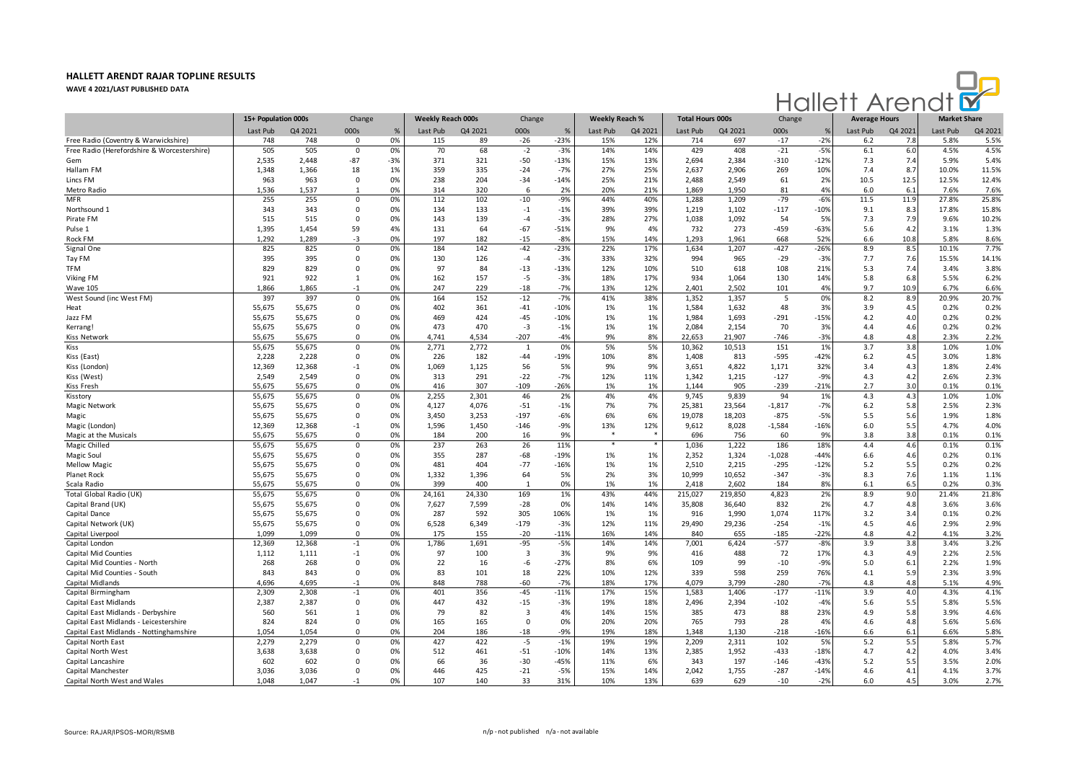

|                                             | 15+ Population 000s |         | Change         |       | Weekly Reach 000s |         | Change                  |        | <b>Weekly Reach %</b> |         | <b>Total Hours 000s</b> |         | Change   |               | <b>Average Hours</b> |         | <b>Market Share</b> |         |
|---------------------------------------------|---------------------|---------|----------------|-------|-------------------|---------|-------------------------|--------|-----------------------|---------|-------------------------|---------|----------|---------------|----------------------|---------|---------------------|---------|
|                                             | Last Pub            | Q4 2021 | 000s           | $\%$  | Last Pub          | Q4 2021 | 000s                    | %      | Last Pub              | Q4 2021 | Last Pub                | Q4 2021 | 000s     | $\frac{9}{6}$ | Last Pub             | Q4 2021 | Last Pub            | Q4 2021 |
| Free Radio (Coventry & Warwickshire)        | 748                 | 748     | $\Omega$       | 0%    | 115               | 89      | $-26$                   | $-23%$ | 15%                   | 12%     | 714                     | 697     | $-17$    | $-2%$         | 6.2                  | 7.8     | 5.8%                | 5.5%    |
| Free Radio (Herefordshire & Worcestershire) | 505                 | 505     | $\overline{0}$ | 0%    | 70                | 68      | $-2$                    | $-3%$  | 14%                   | 14%     | 429                     | 408     | $-21$    | $-5%$         | 6.1                  | 6.0     | 4.5%                | 4.5%    |
| Gem                                         | 2,535               | 2,448   | $-87$          | $-3%$ | 371               | 321     | $-50$                   | $-13%$ | 15%                   | 13%     | 2,694                   | 2,384   | $-310$   | $-12%$        | 7.3                  | 7.4     | 5.9%                | 5.4%    |
| Hallam FM                                   | 1,348               | 1,366   | 18             | 1%    | 359               | 335     | $-24$                   | $-7%$  | 27%                   | 25%     | 2,637                   | 2,906   | 269      | 10%           | 7.4                  | 8.7     | 10.0%               | 11.5%   |
| Lincs FM                                    | 963                 | 963     | $\mathbf 0$    | 0%    | 238               | 204     | $-34$                   | $-14%$ | 25%                   | 21%     | 2,488                   | 2,549   | 61       | 2%            | 10.5                 | 12.5    | 12.5%               | 12.4%   |
| Metro Radio                                 | 1,536               | 1,537   | -1             | 0%    | 314               | 320     | 6                       | 2%     | 20%                   | 21%     | 1,869                   | 1,950   | 81       | 4%            | 6.0                  | 6.1     | 7.6%                | 7.6%    |
| <b>MFR</b>                                  | 255                 | 255     | $^{\circ}$     | 0%    | 112               | 102     | $-10$                   | $-9%$  | 44%                   | 40%     | 1,288                   | 1,209   | $-79$    | $-6%$         | 11.5                 | 11.9    | 27.8%               | 25.8%   |
| Northsound 1                                | 343                 | 343     | $\Omega$       | 0%    | 134               | 133     | $-1$                    | $-1%$  | 39%                   | 39%     | 1,219                   | 1,102   | $-117$   | $-10%$        | 9.1                  | 8.3     | 17.8%               | 15.8%   |
| Pirate FM                                   | 515                 | 515     | $\Omega$       | 0%    | 143               | 139     | $-4$                    | $-3%$  | 28%                   | 27%     | 1,038                   | 1,092   | 54       | 5%            | 7.3                  | 7.9     | 9.6%                | 10.2%   |
| Pulse 1                                     | 1,395               | 1,454   | 59             | 4%    | 131               | 64      | $-67$                   | $-51%$ | 9%                    | 4%      | 732                     | 273     | $-459$   | $-63%$        | 5.6                  | 4.2     | 3.1%                | 1.3%    |
| Rock FM                                     | 1,292               | 1,289   | -3             | 0%    | 197               | 182     | $-15$                   | $-8%$  | 15%                   | 14%     | 1,293                   | 1,961   | 668      | 52%           | 6.6                  | 10.8    | 5.8%                | 8.6%    |
| Signal One                                  | 825                 | 825     | $\mathbf 0$    | 0%    | 184               | 142     | $-42$                   | $-23%$ | 22%                   | 17%     | 1,634                   | 1,207   | $-427$   | $-26%$        | 8.9                  | 8.5     | 10.1%               | 7.7%    |
| Tay FM                                      | 395                 | 395     | $\mathbf 0$    | 0%    | 130               | 126     | $-4$                    | $-3%$  | 33%                   | 32%     | 994                     | 965     | $-29$    | $-3%$         | 7.7                  | 7.6     | 15.5%               | 14.1%   |
| <b>TFM</b>                                  | 829                 | 829     | 0              | 0%    | 97                | 84      | $-13$                   | -13%   | 12%                   | 10%     | 510                     | 618     | 108      | 21%           | 5.3                  | 7.4     | 3.4%                | 3.8%    |
| Viking FM                                   | 921                 | 922     | 1              | 0%    | 162               | 157     | $-5$                    | $-3%$  | 18%                   | 17%     | 934                     | 1,064   | 130      | 14%           | 5.8                  | 6.8     | 5.5%                | 6.2%    |
| <b>Wave 105</b>                             | 1,866               | 1.865   | $-1$           | 0%    | 247               | 229     | $-18$                   | $-7%$  | 13%                   | 12%     | 2.401                   | 2,502   | 101      | 4%            | 9.7                  | 10.9    | 6.7%                | 6.6%    |
| West Sound (inc West FM)                    | 397                 | 397     | $\Omega$       | 0%    | 164               | 152     | $-12$                   | $-7%$  | 41%                   | 38%     | 1,352                   | 1,357   | 5        | 0%            | 8.2                  | 8.9     | 20.9%               | 20.7%   |
| Heat                                        | 55,675              | 55,675  | $\mathbf 0$    | 0%    | 402               | 361     | $-41$                   | $-10%$ | 1%                    | 1%      | 1,584                   | 1,632   | 48       | 3%            | 3.9                  | 4.5     | 0.2%                | 0.2%    |
| Jazz FM                                     | 55,675              | 55,675  | $\Omega$       | 0%    | 469               | 424     | $-45$                   | $-10%$ | 1%                    | 1%      | 1,984                   | 1,693   | $-291$   | $-15%$        | 4.2                  | 4.0     | 0.2%                | 0.2%    |
| Kerrang!                                    | 55,675              | 55,675  | $\mathbf 0$    | 0%    | 473               | 470     | $-3$                    | $-1%$  | 1%                    | 1%      | 2,084                   | 2,154   | 70       | 3%            | 4.4                  | 4.6     | 0.2%                | 0.2%    |
| <b>Kiss Network</b>                         | 55,675              | 55,675  | $\Omega$       | 0%    | 4,741             | 4,534   | $-207$                  | $-4%$  | 9%                    | 8%      | 22,653                  | 21,907  | $-746$   | $-3%$         | 4.8                  | 4.8     | 2.3%                | 2.2%    |
| Kiss                                        | 55,675              | 55,675  | $\mathbf 0$    | 0%    | 2,771             | 2,772   | 1                       | 0%     | 5%                    | 5%      | 10,362                  | 10,513  | 151      | 1%            | 3.7                  | 3.8     | 1.0%                | 1.0%    |
| Kiss (East)                                 | 2,228               | 2,228   | $\mathbf 0$    | 0%    | 226               | 182     | -44                     | -19%   | 10%                   | 8%      | 1,408                   | 813     | $-595$   | $-42%$        | 6.2                  | 4.5     | 3.0%                | 1.8%    |
| Kiss (London)                               | 12,369              | 12,368  | $-1$           | 0%    | 1,069             | 1,125   | 56                      | 5%     | 9%                    | 9%      | 3,651                   | 4,822   | 1,171    | 32%           | 3.4                  | 4.3     | 1.8%                | 2.4%    |
| Kiss (West)                                 | 2,549               | 2,549   | $\Omega$       | 0%    | 313               | 291     | $-22$                   | $-7%$  | 12%                   | 11%     | 1,342                   | 1,215   | $-127$   | $-9%$         | 4.3                  | 4.2     | 2.6%                | 2.3%    |
| Kiss Fresh                                  | 55,675              | 55,675  | $\Omega$       | 0%    | 416               | 307     | $-109$                  | $-26%$ | 1%                    | 1%      | 1.144                   | 905     | $-239$   | $-21%$        | 2.7                  | 3.0     | 0.1%                | 0.1%    |
| Kisstory                                    | 55,675              | 55,675  | $\mathbf 0$    | 0%    | 2,255             | 2,301   | 46                      | 2%     | 4%                    | 4%      | 9,745                   | 9,839   | 94       | 1%            | 4.3                  | 4.3     | 1.0%                | 1.0%    |
| <b>Magic Network</b>                        | 55,675              | 55,675  | $\mathbf 0$    | 0%    | 4,127             | 4,076   | $-51$                   | $-1%$  | 7%                    | 7%      | 25,381                  | 23,564  | $-1,817$ | $-7%$         | 6.2                  | 5.8     | 2.5%                | 2.3%    |
| Magic                                       | 55,675              | 55,675  | $\mathbf 0$    | 0%    | 3,450             | 3,253   | $-197$                  | $-6%$  | 6%                    | 6%      | 19,078                  | 18,203  | $-875$   | $-5%$         | 5.5                  | 5.6     | 1.9%                | 1.8%    |
| Magic (London)                              | 12,369              | 12,368  | $-1$           | 0%    | 1,596             | 1,450   | $-146$                  | $-9%$  | 13%                   | 12%     | 9,612                   | 8,028   | $-1,584$ | $-16%$        | 6.0                  | 5.5     | 4.7%                | 4.0%    |
| Magic at the Musicals                       | 55,675              | 55,675  | $\mathbf{0}$   | 0%    | 184               | 200     | 16                      | 9%     | $\ast$                |         | 696                     | 756     | 60       | 9%            | 3.8                  | 3.8     | 0.1%                | 0.1%    |
| Magic Chilled                               | 55,675              | 55,675  | $\Omega$       | 0%    | 237               | 263     | 26                      | 11%    | $\ast$                |         | 1,036                   | 1,222   | 186      | 18%           | 4.4                  | 4.6     | 0.1%                | 0.1%    |
| Magic Soul                                  | 55,675              | 55,675  | $\Omega$       | 0%    | 355               | 287     | $-68$                   | $-19%$ | 1%                    | 1%      | 2,352                   | 1,324   | $-1,028$ | $-44%$        | 6.6                  | 4.6     | 0.2%                | 0.1%    |
| <b>Mellow Magio</b>                         | 55,675              | 55,675  | $\mathbf 0$    | 0%    | 481               | 404     | $-77$                   | $-16%$ | 1%                    | 1%      | 2,510                   | 2,215   | $-295$   | $-12%$        | 5.2                  | 5.5     | 0.2%                | 0.2%    |
| Planet Rock                                 | 55,675              | 55,675  | $\Omega$       | 0%    | 1,332             | 1,396   | 64                      | 5%     | 2%                    | 3%      | 10,999                  | 10,652  | $-347$   | $-3%$         | 8.3                  | 7.6     | 1.1%                | 1.1%    |
| Scala Radio                                 | 55,675              | 55,675  | $\mathbf 0$    | 0%    | 399               | 400     | $\overline{1}$          | 0%     | 1%                    | 1%      | 2,418                   | 2,602   | 184      | 8%            | 6.1                  | 6.5     | 0.2%                | 0.3%    |
| Total Global Radio (UK)                     | 55,675              | 55,675  | $\mathbf 0$    | 0%    | 24,161            | 24,330  | 169                     | 1%     | 43%                   | 44%     | 215,027                 | 219,850 | 4,823    | 2%            | 8.9                  | 9.0     | 21.4%               | 21.8%   |
| Capital Brand (UK)                          | 55,675              | 55,675  | $\mathbf 0$    | 0%    | 7,627             | 7,599   | $-28$                   | 0%     | 14%                   | 14%     | 35,808                  | 36,640  | 832      | 2%            | 4.7                  | 4.8     | 3.6%                | 3.6%    |
| Capital Dance                               | 55,675              | 55,675  | 0              | 0%    | 287               | 592     | 305                     | 106%   | 1%                    | 1%      | 916                     | 1,990   | 1,074    | 117%          | 3.2                  | 3.4     | 0.1%                | 0.2%    |
| Capital Network (UK)                        | 55,675              | 55,675  | $\Omega$       | 0%    | 6,528             | 6,349   | $-179$                  | $-3%$  | 12%                   | 11%     | 29,490                  | 29,236  | $-254$   | $-1%$         | 4.5                  | 4.6     | 2.9%                | 2.9%    |
| Capital Liverpool                           | 1,099               | 1,099   | $\Omega$       | 0%    | 175               | 155     | $-20$                   | $-11%$ | 16%                   | 14%     | 840                     | 655     | $-185$   | $-22%$        | 4.8                  | 4.2     | 4.1%                | 3.2%    |
| Capital London                              | 12,369              | 12,368  | $-1$           | 0%    | 1,786             | 1,691   | $-95$                   | $-5%$  | 14%                   | 14%     | 7,001                   | 6,424   | $-577$   | $-8%$         | 3.9                  | 3.8     | 3.4%                | 3.2%    |
| Capital Mid Counties                        | 1,112               | 1,111   | $-1$           | 0%    | 97                | 100     | $\overline{\mathbf{3}}$ | 3%     | 9%                    | 9%      | 416                     | 488     | 72       | 17%           | 4.3                  | 4.9     | 2.2%                | 2.5%    |
| Capital Mid Counties - North                | 268                 | 268     | $\Omega$       | 0%    | 22                | 16      | -6                      | $-27%$ | 8%                    | 6%      | 109                     | 99      | $-10$    | $-9%$         | 5.0                  | 6.1     | 2.2%                | 1.9%    |
| Capital Mid Counties - South                | 843                 | 843     | $\mathbf 0$    | 0%    | 83                | 101     | 18                      | 22%    | 10%                   | 12%     | 339                     | 598     | 259      | 76%           | 4.1                  | 5.9     | 2.3%                | 3.9%    |
| Capital Midlands                            | 4,696               | 4,695   | $-1$           | 0%    | 848               | 788     | $-60$                   | $-7%$  | 18%                   | 17%     | 4,079                   | 3,799   | $-280$   | $-7%$         | 4.8                  | 4.8     | 5.1%                | 4.9%    |
| Capital Birmingham                          | 2,309               | 2,308   | $-1$           | 0%    | 401               | 356     | $-45$                   | $-11%$ | 17%                   | 15%     | 1,583                   | 1,406   | $-177$   | $-11%$        | 3.9                  | 4.0     | 4.3%                | 4.1%    |
| Capital East Midlands                       | 2,387               | 2,387   | $\mathbf{0}$   | 0%    | 447               | 432     | $-15$                   | $-3%$  | 19%                   | 18%     | 2,496                   | 2,394   | $-102$   | $-4%$         | 5.6                  | 5.5     | 5.8%                | 5.5%    |
| Capital East Midlands - Derbyshire          | 560                 | 561     | $\mathbf{1}$   | 0%    | 79                | 82      | $\overline{\mathbf{3}}$ | 4%     | 14%                   | 15%     | 385                     | 473     | 88       | 23%           | 4.9                  | 5.8     | 3.9%                | 4.6%    |
| Capital East Midlands - Leicestershire      | 824                 | 824     | $\Omega$       | 0%    | 165               | 165     | $\mathbf 0$             | 0%     | 20%                   | 20%     | 765                     | 793     | 28       | 4%            | 4.6                  | 4.8     | 5.6%                | 5.6%    |
| Capital East Midlands - Nottinghamshire     | 1,054               | 1,054   | $\Omega$       | 0%    | 204               | 186     | $-18$                   | $-9%$  | 19%                   | 18%     | 1,348                   | 1,130   | $-218$   | $-16%$        | 6.6                  | 6.1     | 6.6%                | 5.8%    |
| Capital North East                          | 2,279               | 2,279   | $\Omega$       | 0%    | 427               | 422     | $-5$                    | $-1%$  | 19%                   | 19%     | 2,209                   | 2,311   | 102      | 5%            | 5.2                  | 5.5     | 5.8%                | 5.7%    |
| Capital North West                          | 3,638               | 3,638   | $\Omega$       | 0%    | 512               | 461     | $-51$                   | $-10%$ | 14%                   | 13%     | 2,385                   | 1,952   | $-433$   | $-18%$        | 4.7                  | 4.2     | 4.0%                | 3.4%    |
| Capital Lancashire                          | 602                 | 602     | 0              | 0%    | 66                | 36      | $-30$                   | -45%   | 11%                   | 6%      | 343                     | 197     | $-146$   | $-43%$        | 5.2                  | 5.5     | 3.5%                | 2.0%    |
| Capital Manchester                          | 3,036               | 3,036   | $\Omega$       | 0%    | 446               | 425     | $-21$                   | $-5%$  | 15%                   | 14%     | 2,042                   | 1,755   | $-287$   | $-14%$        | 4.6                  | 4.1     | 4.1%                | 3.7%    |
| Capital North West and Wales                | 1,048               | 1,047   | $-1$           | 0%    | 107               | 140     | 33                      | 31%    | 10%                   | 13%     | 639                     | 629     | $-10$    | $-2%$         | 6.0                  | 4.5     | 3.0%                | 2.7%    |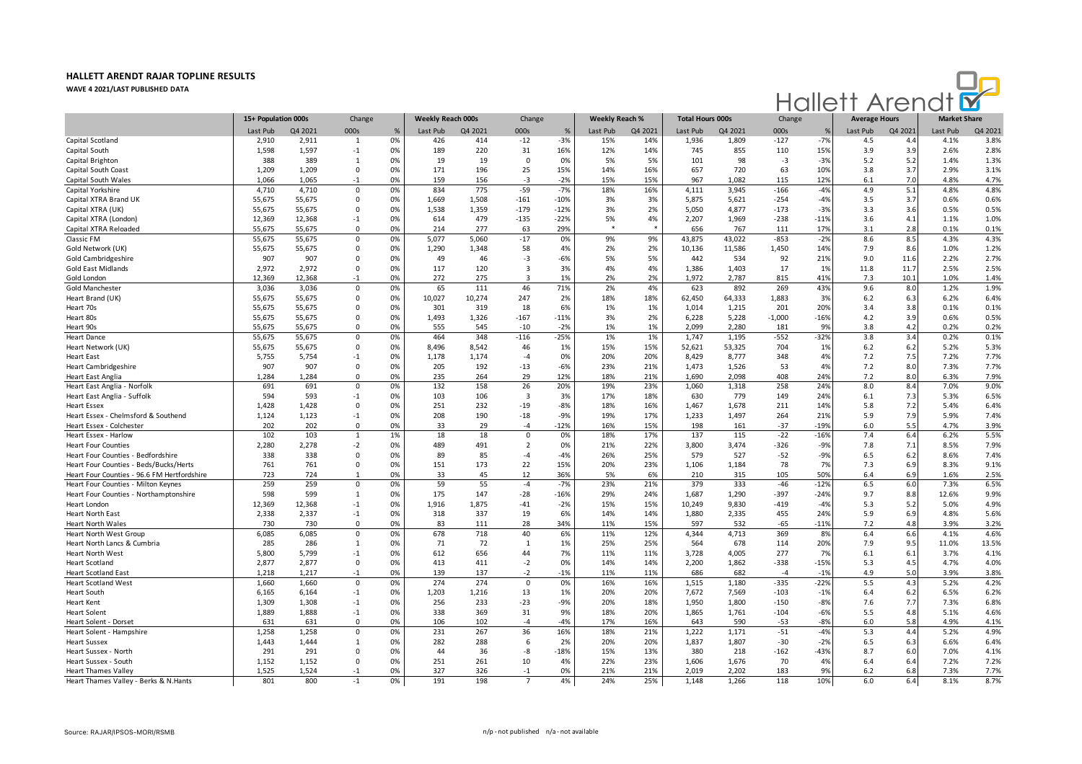

|                                             | 15+ Population 000s |         | Change      |    | <b>Weekly Reach 000s</b> |         | Change                  |        | <b>Weekly Reach %</b> |         | <b>Total Hours 000s</b> |         | Change   |               | <b>Average Hours</b> |         | <b>Market Share</b> |         |
|---------------------------------------------|---------------------|---------|-------------|----|--------------------------|---------|-------------------------|--------|-----------------------|---------|-------------------------|---------|----------|---------------|----------------------|---------|---------------------|---------|
|                                             | Last Pub            | Q4 2021 | 000s        | %  | Last Pub                 | Q4 2021 | 000s                    | %      | Last Pub              | Q4 2021 | Last Pub                | Q4 2021 | 000s     | $\frac{9}{2}$ | Last Pub             | Q4 2021 | Last Pub            | Q4 2021 |
| Capital Scotland                            | 2,910               | 2,911   | 1           | 0% | 426                      | 414     | $-12$                   | $-3%$  | 15%                   | 14%     | 1,936                   | 1,809   | $-127$   | $-7%$         | 4.5                  | 4.4     | 4.1%                | 3.8%    |
| Capital South                               | 1,598               | 1,597   | $-1$        | 0% | 189                      | 220     | 31                      | 16%    | 12%                   | 14%     | 745                     | 855     | 110      | 15%           | 3.9                  | 3.9     | 2.6%                | 2.8%    |
| Capital Brighton                            | 388                 | 389     | -1          | 0% | 19                       | 19      | $\mathbf 0$             | 0%     | 5%                    | 5%      | 101                     | 98      | $-3$     | $-3%$         | 5.2                  | 5.2     | 1.4%                | 1.3%    |
| Capital South Coast                         | 1,209               | 1,209   | $\mathbf 0$ | 0% | 171                      | 196     | 25                      | 15%    | 14%                   | 16%     | 657                     | 720     | 63       | 10%           | 3.8                  | 3.7     | 2.9%                | 3.1%    |
| Capital South Wales                         | 1,066               | 1,065   | $-1$        | 0% | 159                      | 156     | $-3$                    | $-2%$  | 15%                   | 15%     | 967                     | 1,082   | 115      | 12%           | 6.1                  | 7.0     | 4.8%                | 4.7%    |
| Capital Yorkshire                           | 4,710               | 4,710   | 0           | 0% | 834                      | 775     | $-59$                   | $-7%$  | 18%                   | 16%     | 4,111                   | 3,945   | $-166$   | $-4%$         | 4.9                  | 5.1     | 4.8%                | 4.8%    |
| Capital XTRA Brand UK                       | 55,675              | 55,675  | $\mathbf 0$ | 0% | 1,669                    | 1,508   | $-161$                  | $-10%$ | 3%                    | 3%      | 5,875                   | 5,621   | $-254$   | $-4%$         | 3.5                  | 3.7     | 0.6%                | 0.6%    |
| Capital XTRA (UK)                           | 55,675              | 55,675  | $^{\circ}$  | 0% | 1,538                    | 1,359   | $-179$                  | $-12%$ | 3%                    | 2%      | 5,050                   | 4,877   | $-173$   | $-3%$         | 3.3                  | 3.6     | 0.5%                | 0.5%    |
| Capital XTRA (London)                       | 12,369              | 12,368  | $-1$        | 0% | 614                      | 479     | $-135$                  | $-22%$ | 5%                    | 4%      | 2,207                   | 1,969   | $-238$   | $-11%$        | 3.6                  | 4.1     | 1.1%                | 1.0%    |
| Capital XTRA Reloaded                       | 55,675              | 55,675  | $\mathbf 0$ | 0% | 214                      | 277     | 63                      | 29%    | *                     |         | 656                     | 767     | 111      | 17%           | 3.1                  | 2.8     | 0.1%                | 0.1%    |
| Classic FM                                  | 55,675              | 55,675  | $\mathbf 0$ | 0% | 5,077                    | 5,060   | $-17$                   | 0%     | 9%                    | 9%      | 43,875                  | 43,022  | $-853$   | $-2%$         | 8.6                  | 8.5     | 4.3%                | 4.3%    |
| Gold Network (UK)                           | 55,675              | 55,675  | $\mathbf 0$ | 0% | 1,290                    | 1,348   | 58                      | 4%     | 2%                    | 2%      | 10,136                  | 11,586  | 1,450    | 14%           | 7.9                  | 8.6     | 1.0%                | 1.2%    |
| Gold Cambridgeshire                         | 907                 | 907     | $\Omega$    | 0% | 49                       | 46      | $-3$                    | $-6%$  | 5%                    | 5%      | 442                     | 534     | 92       | 21%           | 9.0                  | 11.6    | 2.2%                | 2.7%    |
| <b>Gold East Midlands</b>                   | 2,972               | 2,972   | $\Omega$    | 0% | 117                      | 120     | $\overline{3}$          | 3%     | 4%                    | 4%      | 1,386                   | 1,403   | 17       | 1%            | 11.8                 | 11.7    | 2.5%                | 2.5%    |
| Gold London                                 | 12.369              | 12.368  | $-1$        | 0% | 272                      | 275     | $\overline{3}$          | 1%     | 2%                    | 2%      | 1.972                   | 2.787   | 815      | 41%           | 7.3                  | 10.1    | 1.0%                | 1.4%    |
| Gold Manchester                             | 3,036               | 3,036   | $\mathbf 0$ | 0% | 65                       | 111     | 46                      | 71%    | 2%                    | 4%      | 623                     | 892     | 269      | 43%           | 9.6                  | 8.0     | 1.2%                | 1.9%    |
| Heart Brand (UK)                            | 55,675              | 55,675  | $^{\circ}$  | 0% | 10,027                   | 10,274  | 247                     | 2%     | 18%                   | 18%     | 62,450                  | 64,333  | 1,883    | 3%            | 6.2                  | 6.3     | 6.2%                | 6.4%    |
| Heart 70s                                   | 55,675              | 55,675  | $\Omega$    | 0% | 301                      | 319     | 18                      | 6%     | 1%                    | 1%      | 1,014                   | 1,215   | 201      | 20%           | 3.4                  | 3.8     | 0.1%                | 0.1%    |
| Heart 80s                                   | 55,675              | 55,675  | 0           | 0% | 1,493                    | 1,326   | $-167$                  | $-11%$ | 3%                    | 2%      | 6,228                   | 5,228   | $-1,000$ | $-16%$        | 4.2                  | 3.9     | 0.6%                | 0.5%    |
| Heart 90s                                   | 55,675              | 55,675  | $\Omega$    | 0% | 555                      | 545     | $-10$                   | $-2%$  | 1%                    | 1%      | 2,099                   | 2,280   | 181      | 9%            | 3.8                  | 4.2     | 0.2%                | 0.2%    |
| <b>Heart Dance</b>                          | 55,675              | 55,675  | $\mathbf 0$ | 0% | 464                      | 348     | $-116$                  | $-25%$ | 1%                    | 1%      | 1,747                   | 1,195   | $-552$   | $-32%$        | 3.8                  | 3.4     | 0.2%                | 0.1%    |
| Heart Network (UK)                          | 55,675              | 55,675  | $\Omega$    | 0% | 8,496                    | 8,542   | 46                      | 1%     | 15%                   | 15%     | 52,621                  | 53,325  | 704      | 1%            | 6.2                  | 6.2     | 5.2%                | 5.3%    |
| <b>Heart East</b>                           | 5,755               | 5,754   | $-1$        | 0% | 1,178                    | 1,174   | $-4$                    | 0%     | 20%                   | 20%     | 8,429                   | 8,777   | 348      | 4%            | 7.2                  | 7.5     | 7.2%                | 7.7%    |
| <b>Heart Cambridgeshire</b>                 | 907                 | 907     | $\mathbf 0$ | 0% | 205                      | 192     | $-13$                   | $-6%$  | 23%                   | 21%     | 1,473                   | 1,526   | 53       | 4%            | 7.2                  | 8.0     | 7.3%                | 7.7%    |
| Heart East Anglia                           | 1,284               | 1,284   | $\Omega$    | 0% | 235                      | 264     | 29                      | 12%    | 18%                   | 21%     | 1,690                   | 2,098   | 408      | 24%           | 7.2                  | 8.0     | 6.3%                | 7.9%    |
| Heart East Anglia - Norfolk                 | 691                 | 691     | $\mathbf 0$ | 0% | 132                      | 158     | 26                      | 20%    | 19%                   | 23%     | 1,060                   | 1,318   | 258      | 24%           | 8.0                  | 8.4     | 7.0%                | 9.0%    |
| Heart East Anglia - Suffolk                 | 594                 | 593     | $-1$        | 0% | 103                      | 106     | $\overline{\mathbf{3}}$ | 3%     | 17%                   | 18%     | 630                     | 779     | 149      | 24%           | 6.1                  | 7.3     | 5.3%                | 6.5%    |
| <b>Heart Essex</b>                          | 1,428               | 1,428   | $\mathbf 0$ | 0% | 251                      | 232     | $-19$                   | $-8%$  | 18%                   | 16%     | 1,467                   | 1,678   | 211      | 14%           | 5.8                  | 7.2     | 5.4%                | 6.4%    |
|                                             | 1,124               | 1,123   |             | 0% | 208                      | 190     | $-18$                   | $-9%$  | 19%                   | 17%     |                         | 1,497   | 264      | 21%           | 5.9                  | 7.9     | 5.9%                | 7.4%    |
| Heart Essex - Chelmsford & Southend         |                     |         | $-1$        |    |                          |         |                         |        |                       |         | 1,233                   |         |          |               |                      |         |                     |         |
| Heart Essex - Colchester                    | 202                 | 202     | $\mathbf 0$ | 0% | 33                       | 29      | $-4$                    | $-12%$ | 16%                   | 15%     | 198                     | 161     | $-37$    | $-19%$        | 6.0                  | 5.5     | 4.7%                | 3.9%    |
| Heart Essex - Harlow                        | 102                 | 103     | 1           | 1% | 18                       | 18      | $\mathbf{0}$            | 0%     | 18%                   | 17%     | 137                     | 115     | $-22$    | -16%          | 7.4                  | 6.4     | 6.2%                | 5.5%    |
| <b>Heart Four Counties</b>                  | 2,280               | 2,278   | $-2$        | 0% | 489                      | 491     | $\overline{2}$          | 0%     | 21%                   | 22%     | 3,800                   | 3,474   | -326     | $-9%$         | 7.8                  | 7.1     | 8.5%                | 7.9%    |
| Heart Four Counties - Bedfordshire          | 338                 | 338     | $^{\circ}$  | 0% | 89                       | 85      | $-4$                    | $-4%$  | 26%                   | 25%     | 579                     | 527     | $-52$    | $-9%$         | 6.5                  | 6.2     | 8.6%                | 7.4%    |
| Heart Four Counties - Beds/Bucks/Herts      | 761                 | 761     | $\Omega$    | 0% | 151                      | 173     | 22                      | 15%    | 20%                   | 23%     | 1,106                   | 1,184   | 78       | 7%            | 7.3                  | 6.9     | 8.3%                | 9.1%    |
| Heart Four Counties - 96.6 FM Hertfordshire | 723<br>259          | 724     |             | 0% | 33<br>59                 | 45      | 12                      | 36%    | 5%                    | 6%      | 210                     | 315     | 105      | 50%           | 6.4                  | 6.9     | 1.6%                | 2.5%    |
| Heart Four Counties - Milton Keynes         |                     | 259     | $\mathbf 0$ | 0% |                          | 55      | $-4$                    | $-7%$  | 23%                   | 21%     | 379                     | 333     | $-46$    | $-12%$        | 6.5                  | 6.0     | 7.3%                | 6.5%    |
| Heart Four Counties - Northamptonshire      | 598                 | 599     | 1           | 0% | 175                      | 147     | $-28$                   | $-16%$ | 29%                   | 24%     | 1,687                   | 1,290   | $-397$   | $-24%$        | 9.7                  | 8.8     | 12.6%               | 9.9%    |
| Heart London                                | 12,369              | 12,368  | $-1$        | 0% | 1,916                    | 1,875   | $-41$                   | $-2%$  | 15%                   | 15%     | 10,249                  | 9,830   | $-419$   | $-4%$         | 5.3                  | 5.2     | 5.0%                | 4.9%    |
| Heart North East                            | 2,338               | 2,337   | $-1$        | 0% | 318                      | 337     | 19                      | 6%     | 14%                   | 14%     | 1,880                   | 2,335   | 455      | 24%           | 5.9                  | 6.9     | 4.8%                | 5.6%    |
| <b>Heart North Wales</b>                    | 730                 | 730     | $\mathbf 0$ | 0% | 83                       | 111     | 28                      | 34%    | 11%                   | 15%     | 597                     | 532     | $-65$    | $-11%$        | 7.2                  | 4.8     | 3.9%                | 3.2%    |
| Heart North West Group                      | 6,085               | 6,085   | $\mathbf 0$ | 0% | 678                      | 718     | 40                      | 6%     | 11%                   | 12%     | 4,344                   | 4,713   | 369      | 8%            | 6.4                  | 6.6     | 4.1%                | 4.6%    |
| Heart North Lancs & Cumbria                 | 285                 | 286     | -1          | 0% | 71                       | 72      | 1                       | 1%     | 25%                   | 25%     | 564                     | 678     | 114      | 20%           | 7.9                  | 9.5     | 11.0%               | 13.5%   |
| Heart North West                            | 5,800               | 5,799   | $-1$        | 0% | 612                      | 656     | 44                      | 7%     | 11%                   | 11%     | 3,728                   | 4,005   | 277      | 7%            | 6.1                  | 6.1     | 3.7%                | 4.1%    |
| <b>Heart Scotland</b>                       | 2,877               | 2,877   | $\mathbf 0$ | 0% | 413                      | 411     | $-2$                    | 0%     | 14%                   | 14%     | 2,200                   | 1,862   | $-338$   | $-15%$        | 5.3                  | 4.5     | 4.7%                | 4.0%    |
| <b>Heart Scotland East</b>                  | 1.218               | 1.217   | $-1$        | 0% | 139                      | 137     | $-2$                    | $-1%$  | 11%                   | 11%     | 686                     | 682     | $-4$     | $-1%$         | 4.9                  | 5.0     | 3.9%                | 3.8%    |
| <b>Heart Scotland West</b>                  | 1,660               | 1,660   | $\Omega$    | 0% | 274                      | 274     | $\mathbf{0}$            | 0%     | 16%                   | 16%     | 1,515                   | 1,180   | $-335$   | $-22%$        | 5.5                  | 4.3     | 5.2%                | 4.2%    |
| <b>Heart South</b>                          | 6,165               | 6,164   | $-1$        | 0% | 1,203                    | 1,216   | 13                      | 1%     | 20%                   | 20%     | 7,672                   | 7,569   | $-103$   | $-1%$         | 6.4                  | 6.2     | 6.5%                | 6.2%    |
| <b>Heart Kent</b>                           | 1.309               | 1.308   | $-1$        | 0% | 256                      | 233     | $-23$                   | $-9%$  | 20%                   | 18%     | 1,950                   | 1,800   | $-150$   | $-8%$         | 7.6                  | 7.7     | 7.3%                | 6.8%    |
| <b>Heart Solent</b>                         | 1,889               | 1,888   | $-1$        | 0% | 338                      | 369     | 31                      | 9%     | 18%                   | 20%     | 1,865                   | 1,761   | $-104$   | $-6%$         | 5.5                  | 4.8     | 5.1%                | 4.6%    |
| Heart Solent - Dorset                       | 631                 | 631     | $\Omega$    | 0% | 106                      | 102     | $-4$                    | $-4%$  | 17%                   | 16%     | 643                     | 590     | $-53$    | $-8%$         | 6.0                  | 5.8     | 4.9%                | 4.1%    |
| Heart Solent - Hampshire                    | 1,258               | 1,258   | $\Omega$    | 0% | 231                      | 267     | 36                      | 16%    | 18%                   | 21%     | 1,222                   | 1,171   | $-51$    | $-4%$         | 5.3                  | 4.4     | 5.2%                | 4.9%    |
| <b>Heart Sussex</b>                         | 1,443               | 1,444   | 1           | 0% | 282                      | 288     | 6                       | 2%     | 20%                   | 20%     | 1,837                   | 1,807   | $-30$    | $-2%$         | 6.5                  | 6.3     | 6.6%                | 6.4%    |
| Heart Sussex - North                        | 291                 | 291     | $\Omega$    | 0% | 44                       | 36      | -8                      | $-18%$ | 15%                   | 13%     | 380                     | 218     | $-162$   | $-43%$        | 8.7                  | 6.0     | 7.0%                | 4.1%    |
| Heart Sussex - South                        | 1,152               | 1,152   | $\Omega$    | 0% | 251                      | 261     | 10                      | 4%     | 22%                   | 23%     | 1,606                   | 1,676   | 70       | 4%            | 6.4                  | 6.4     | 7.2%                | 7.2%    |
| <b>Heart Thames Valley</b>                  | 1,525               | 1,524   | $-1$        | 0% | 327                      | 326     | $-1$                    | 0%     | 21%                   | 21%     | 2,019                   | 2,202   | 183      | 9%            | 6.2                  | 6.8     | 7.3%                | 7.7%    |
| Heart Thames Valley - Berks & N.Hants       | 801                 | 800     | $-1$        | 0% | 191                      | 198     | $\overline{7}$          | 4%     | 24%                   | 25%     | 1,148                   | 1,266   | 118      | 10%           | 6.0                  | 6.4     | 8.1%                | 8.7%    |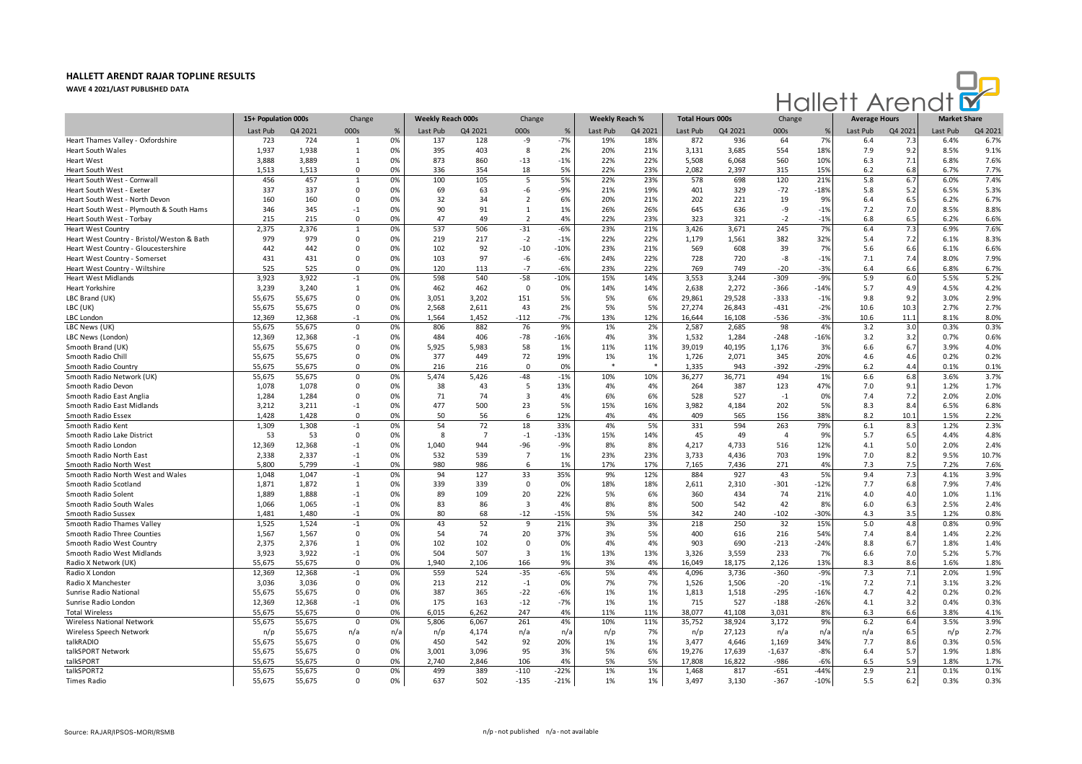

|                                            | 15+ Population 000s |         | Change       |      | Weekly Reach 000s |                | Change                  |        | <b>Weekly Reach %</b> |         | <b>Total Hours 000s</b> |         | Change   |               | <b>Average Hours</b> |         | <b>Market Share</b> |         |
|--------------------------------------------|---------------------|---------|--------------|------|-------------------|----------------|-------------------------|--------|-----------------------|---------|-------------------------|---------|----------|---------------|----------------------|---------|---------------------|---------|
|                                            | Last Pub            | Q4 2021 | 000s         | $\%$ | Last Pub          | Q4 2021        | 000s                    | %      | Last Pub              | Q4 2021 | Last Pub                | Q4 2021 | 000s     | $\frac{9}{2}$ | Last Pub             | Q4 2021 | Last Pub            | Q4 2021 |
| Heart Thames Valley - Oxfordshire          | 723                 | 724     | 1            | 0%   | 137               | 128            | -9                      | $-7%$  | 19%                   | 18%     | 872                     | 936     | 64       | 7%            | 6.4                  | 7.3     | 6.4%                | 6.7%    |
| Heart South Wales                          | 1,937               | 1,938   | 1            | 0%   | 395               | 403            | 8                       | 2%     | 20%                   | 21%     | 3,131                   | 3,685   | 554      | 18%           | 7.9                  | 9.2     | 8.5%                | 9.1%    |
| <b>Heart West</b>                          | 3.888               | 3,889   | $\mathbf{1}$ | 0%   | 873               | 860            | $-13$                   | $-1%$  | 22%                   | 22%     | 5,508                   | 6,068   | 560      | 10%           | 6.3                  | 7.1     | 6.8%                | 7.6%    |
| <b>Heart South West</b>                    | 1,513               | 1,513   | $\Omega$     | 0%   | 336               | 354            | 18                      | 5%     | 22%                   | 23%     | 2,082                   | 2,397   | 315      | 15%           | 6.2                  | 6.8     | 6.7%                | 7.7%    |
| Heart South West - Cornwal                 | 456                 | 457     | $\mathbf{1}$ | 0%   | 100               | 105            | 5                       | 5%     | 22%                   | 23%     | 578                     | 698     | 120      | 21%           | 5.8                  | 6.7     | 6.0%                | 7.4%    |
| Heart South West - Exeter                  | 337                 | 337     | $\Omega$     | 0%   | 69                | 63             | -6                      | $-9%$  | 21%                   | 19%     | 401                     | 329     | $-72$    | $-18%$        | 5.8                  | 5.2     | 6.5%                | 5.3%    |
| Heart South West - North Devor             | 160                 | 160     | $\mathbf 0$  | 0%   | 32                | 34             | $\overline{2}$          | 6%     | 20%                   | 21%     | 202                     | 221     | 19       | 9%            | 6.4                  | 6.5     | 6.2%                | 6.7%    |
| Heart South West - Plymouth & South Hams   | 346                 | 345     | $-1$         | 0%   | 90                | 91             | $\mathbf{1}$            | 1%     | 26%                   | 26%     | 645                     | 636     | -9       | $-1%$         | 7.2                  | 7.0     | 8.5%                | 8.8%    |
| Heart South West - Torbay                  | 215                 | 215     | $\mathbf 0$  | 0%   | 47                | 49             | $\overline{2}$          | 4%     | 22%                   | 23%     | 323                     | 321     | $-2$     | $-1%$         | 6.8                  | 6.5     | 6.2%                | 6.6%    |
| <b>Heart West Country</b>                  | 2,375               | 2,376   | 1            | 0%   | 537               | 506            | $-31$                   | $-6%$  | 23%                   | 21%     | 3,426                   | 3,671   | 245      | 7%            | 6.4                  | 7.3     | 6.9%                | 7.6%    |
| Heart West Country - Bristol/Weston & Bath | 979                 | 979     | 0            | 0%   | 219               | 217            | $-2$                    | $-1%$  | 22%                   | 22%     | 1,179                   | 1,561   | 382      | 32%           | 5.4                  | 7.2     | 6.1%                | 8.3%    |
| Heart West Country - Gloucestershire       | 442                 | 442     | 0            | 0%   | 102               | 92             | $-10$                   | $-10%$ | 23%                   | 21%     | 569                     | 608     | 39       | 7%            | 5.6                  | 6.6     | 6.1%                | 6.6%    |
| Heart West Country - Somerset              | 431                 | 431     | $\Omega$     | 0%   | 103               | 97             | -6                      | $-6%$  | 24%                   | 22%     | 728                     | 720     | $-8$     | $-1%$         | 7.1                  | 7.4     | 8.0%                | 7.9%    |
| Heart West Country - Wiltshire             | 525                 | 525     | $\Omega$     | 0%   | 120               | 113            | $-7$                    | $-6%$  | 23%                   | 22%     | 769                     | 749     | $-20$    | $-3%$         | 6.4                  | 6.6     | 6.8%                | 6.7%    |
| <b>Heart West Midlands</b>                 | 3,923               | 3,922   | $-1$         | 0%   | 598               | 540            | $-58$                   | $-10%$ | 15%                   | 14%     | 3,553                   | 3,244   | $-309$   | $-9%$         | 5.9                  | 6.0     | 5.5%                | 5.2%    |
| <b>Heart Yorkshire</b>                     | 3,239               | 3,240   | 1            | 0%   | 462               | 462            | $\mathbf 0$             | 0%     | 14%                   | 14%     | 2,638                   | 2,272   | -366     | $-14%$        | 5.7                  | 4.9     | 4.5%                | 4.2%    |
| LBC Brand (UK)                             | 55,675              | 55,675  | $\Omega$     | 0%   | 3,051             | 3,202          | 151                     | 5%     | 5%                    | 6%      | 29,861                  | 29,528  | $-333$   | $-1%$         | 9.8                  | 9.2     | 3.0%                | 2.9%    |
| LBC (UK)                                   | 55,675              | 55,675  | $\Omega$     | 0%   | 2,568             | 2,611          | 43                      | 2%     | 5%                    | 5%      | 27,274                  | 26,843  | $-431$   | $-2%$         | 10.6                 | 10.3    | 2.7%                | 2.7%    |
| LBC London                                 | 12,369              | 12,368  | $-1$         | 0%   | 1,564             | 1,452          | $-112$                  | $-7%$  | 13%                   | 12%     | 16,644                  | 16,108  | -536     | $-3%$         | 10.6                 | 11.1    | 8.1%                | 8.0%    |
| LBC News (UK)                              | 55,675              | 55,675  | $\Omega$     | 0%   | 806               | 882            | 76                      | 9%     | 1%                    | 2%      | 2,587                   | 2,685   | 98       | 4%            | 3.2                  | 3.0     | 0.3%                | 0.3%    |
| LBC News (London)                          | 12,369              | 12,368  | $-1$         | 0%   | 484               | 406            | $-78$                   | $-16%$ | 4%                    | 3%      | 1,532                   | 1,284   | $-248$   | $-16%$        | 3.2                  | 3.2     | 0.7%                | 0.6%    |
| Smooth Brand (UK)                          | 55,675              | 55,675  | $\Omega$     | 0%   | 5,925             | 5,983          | 58                      | 1%     | 11%                   | 11%     | 39,019                  | 40,195  | 1,176    | 3%            | 6.6                  | 6.7     | 3.9%                | 4.0%    |
| Smooth Radio Chill                         | 55,675              | 55,675  | $\mathbf 0$  | 0%   | 377               | 449            | 72                      | 19%    | 1%                    | 1%      | 1,726                   | 2,071   | 345      | 20%           | 4.6                  | 4.6     | 0.2%                | 0.2%    |
| Smooth Radio Country                       | 55,675              | 55,675  | $\Omega$     | 0%   | 216               | 216            | $\Omega$                | 0%     |                       |         | 1,335                   | 943     | $-392$   | $-29%$        | 6.2                  | 4.4     | 0.1%                | 0.1%    |
| Smooth Radio Network (UK)                  | 55,675              | 55,675  | $\mathbf 0$  | 0%   | 5,474             | 5,426          | $-48$                   | $-1%$  | 10%                   | 10%     | 36,277                  | 36,771  | 494      | 1%            | 6.6                  | 6.8     | 3.6%                | 3.7%    |
| Smooth Radio Devon                         | 1,078               | 1,078   | $\mathbf 0$  | 0%   | 38                | 43             | 5                       | 13%    | 4%                    | 4%      | 264                     | 387     | 123      | 47%           | 7.0                  | 9.1     | 1.2%                | 1.7%    |
| Smooth Radio East Anglia                   | 1,284               | 1,284   | $\mathbf 0$  | 0%   | 71                | 74             | $\overline{\mathbf{3}}$ | 4%     | 6%                    | 6%      | 528                     | 527     | $-1$     | 0%            | 7.4                  | 7.2     | 2.0%                | 2.0%    |
| Smooth Radio East Midlands                 | 3.212               | 3.211   | $-1$         | 0%   | 477               | 500            | 23                      | 5%     | 15%                   | 16%     | 3.982                   | 4.184   | 202      | 5%            | 8.3                  | 8.4     | 6.5%                | 6.8%    |
| Smooth Radio Essex                         | 1.428               | 1.428   | $\Omega$     | 0%   | 50                | 56             | 6                       | 12%    | 4%                    | 4%      | 409                     | 565     | 156      | 38%           | 8.2                  | 10.1    | 1.5%                | 2.2%    |
| Smooth Radio Kent                          | 1,309               | 1.308   | $-1$         | 0%   | 54                | 72             | 18                      | 33%    | 4%                    | 5%      | 331                     | 594     | 263      | 79%           | 6.1                  | 8.3     | 1.2%                | 2.3%    |
| Smooth Radio Lake District                 | 53                  | 53      | $\Omega$     | 0%   | -8                | $\overline{7}$ | $-1$                    | $-13%$ | 15%                   | 14%     | 45                      | 49      | $\Delta$ | 9%            | 5.7                  | 6.5     | 4.4%                | 4.8%    |
| Smooth Radio London                        | 12,369              | 12,368  | $-1$         | 0%   | 1,040             | 944            | -96                     | $-9%$  | 8%                    | 8%      | 4,217                   | 4,733   | 516      | 12%           | 4.1                  | 5.0     | 2.0%                | 2.4%    |
| Smooth Radio North East                    | 2,338               | 2,337   | $-1$         | 0%   | 532               | 539            | $\overline{7}$          | 1%     | 23%                   | 23%     | 3,733                   | 4,436   | 703      | 19%           | 7.0                  | 8.2     | 9.5%                | 10.7%   |
| Smooth Radio North West                    | 5,800               | 5,799   | $-1$         | 0%   | 980               | 986            | 6                       | 1%     | 17%                   | 17%     | 7,165                   | 7,436   | 271      | 4%            | 7.3                  | 7.5     | 7.2%                | 7.6%    |
| Smooth Radio North West and Wales          | 1,048               | 1,047   | $-1$         | 0%   | 94                | 127            | 33                      | 35%    | 9%                    | 12%     | 884                     | 927     | 43       | 5%            | 9.4                  | 7.3     | 4.1%                | 3.9%    |
| Smooth Radio Scotland                      | 1,871               | 1,872   | 1            | 0%   | 339               | 339            | $\overline{0}$          | 0%     | 18%                   | 18%     | 2,611                   | 2,310   | $-301$   | $-12%$        | 7.7                  | 6.8     | 7.9%                | 7.4%    |
| Smooth Radio Solent                        | 1,889               | 1,888   | $-1$         | 0%   | 89                | 109            | 20                      | 22%    | 5%                    | 6%      | 360                     | 434     | 74       | 21%           | 4.0                  | 4.0     | 1.0%                | 1.1%    |
| Smooth Radio South Wales                   | 1,066               | 1,065   | $-1$         | 0%   | 83                | 86             | $\overline{\mathbf{3}}$ | 4%     | 8%                    | 8%      | 500                     | 542     | 42       | 8%            | 6.0                  | 6.3     | 2.5%                | 2.4%    |
| Smooth Radio Sussex                        | 1,481               | 1,480   | $-1$         | 0%   | 80                | 68             | $-12$                   | $-15%$ | 5%                    | 5%      | 342                     | 240     | $-102$   | $-30%$        | 4.3                  | 3.5     | 1.2%                | 0.8%    |
| Smooth Radio Thames Valley                 | 1,525               | 1,524   | $-1$         | 0%   | 43                | 52             | 9                       | 21%    | 3%                    | 3%      | 218                     | 250     | 32       | 15%           | 5.0                  | 4.8     | 0.8%                | 0.9%    |
| Smooth Radio Three Counties                | 1,567               | 1,567   | $\mathbf 0$  | 0%   | 54                | 74             | 20                      | 37%    | 3%                    | 5%      | 400                     | 616     | 216      | 54%           | 7.4                  | 8.4     | 1.4%                | 2.2%    |
| Smooth Radio West Country                  | 2,375               | 2,376   | $\mathbf{1}$ | 0%   | 102               | 102            | $\Omega$                | 0%     | 4%                    | 4%      | 903                     | 690     | $-213$   | $-24%$        | 8.8                  | 6.7     | 1.8%                | 1.4%    |
| Smooth Radio West Midlands                 | 3,923               | 3,922   | $-1$         | 0%   | 504               | 507            | $\overline{3}$          | 1%     | 13%                   | 13%     | 3,326                   | 3,559   | 233      | 7%            | 6.6                  | 7.0     | 5.2%                | 5.7%    |
| Radio X Network (UK)                       | 55.675              | 55.675  | $\Omega$     | 0%   | 1.940             | 2.106          | 166                     | 9%     | 3%                    | 4%      | 16.049                  | 18,175  | 2.126    | 13%           | 8.3                  | 8.6     | 1.6%                | 1.8%    |
| Radio X London                             | 12,369              | 12,368  | $-1$         | 0%   | 559               | 524            | $-35$                   | $-6%$  | 5%                    | 4%      | 4,096                   | 3,736   | $-360$   | $-9%$         | 7.3                  | 7.1     | 2.0%                | 1.9%    |
| Radio X Manchester                         | 3.036               | 3.036   | $\Omega$     | 0%   | 213               | 212            | $-1$                    | 0%     | 7%                    | 7%      | 1.526                   | 1,506   | $-20$    | $-1%$         | 7.2                  | 7.1     | 3.1%                | 3.2%    |
| Sunrise Radio National                     | 55,675              | 55,675  | $\Omega$     | 0%   | 387               | 365            | $-22$                   | $-6%$  | 1%                    | 1%      | 1,813                   | 1,518   | $-295$   | $-16%$        | 4.7                  | 4.2     | 0.2%                | 0.2%    |
| Sunrise Radio London                       | 12,369              | 12,368  | $-1$         | 0%   | 175               | 163            | $-12$                   | $-7%$  | 1%                    | 1%      | 715                     | 527     | $-188$   | $-26%$        | 4.1                  | 3.2     | 0.4%                | 0.3%    |
| <b>Total Wireless</b>                      | 55,675              | 55,675  | $\Omega$     | 0%   | 6,015             | 6,262          | 247                     | 4%     | 11%                   | 11%     | 38,077                  | 41,108  | 3,031    | 8%            | 6.3                  | 6.6     | 3.8%                | 4.1%    |
| Wireless National Network                  | 55,675              | 55,675  | $\mathbf 0$  | 0%   | 5,806             | 6,067          | 261                     | 4%     | 10%                   | 11%     | 35,752                  | 38,924  | 3,172    | 9%            | 6.2                  | 6.4     | 3.5%                | 3.9%    |
| Wireless Speech Network                    | n/p                 | 55,675  | n/a          | n/a  | n/p               | 4,174          | n/a                     | n/a    | n/p                   | 7%      | n/p                     | 27,123  | n/a      | n/a           | n/a                  | 6.5     | n/p                 | 2.7%    |
| talkRADIO                                  | 55,675              | 55,675  | $\mathbf 0$  | 0%   | 450               | 542            | 92                      | 20%    | 1%                    | 1%      | 3,477                   | 4,646   | 1,169    | 34%           | 7.7                  | 8.6     | 0.3%                | 0.5%    |
| talkSPORT Network                          | 55,675              | 55,675  | $\mathbf 0$  | 0%   | 3,001             | 3,096          | 95                      | 3%     | 5%                    | 6%      | 19,276                  | 17,639  | $-1,637$ | $-8%$         | 6.4                  | 5.7     | 1.9%                | 1.8%    |
| talkSPORT                                  | 55,675              | 55,675  | $\Omega$     | 0%   | 2,740             | 2,846          | 106                     | 4%     | 5%                    | 5%      | 17,808                  | 16,822  | $-986$   | $-6%$         | 6.5                  | 5.9     | 1.8%                | 1.7%    |
| talkSPORT2                                 | 55,675              | 55,675  | $\mathbf 0$  | 0%   | 499               | 389            | $-110$                  | $-22%$ | 1%                    | 1%      | 1,468                   | 817     | $-651$   | $-44%$        | 2.9                  | 2.1     | 0.1%                | 0.1%    |
| <b>Times Radio</b>                         | 55,675              | 55,675  | $\Omega$     | 0%   | 637               | 502            | $-135$                  | $-21%$ | 1%                    | 1%      | 3,497                   | 3,130   | $-367$   | $-10%$        | 5.5                  | 6.2     | 0.3%                | 0.3%    |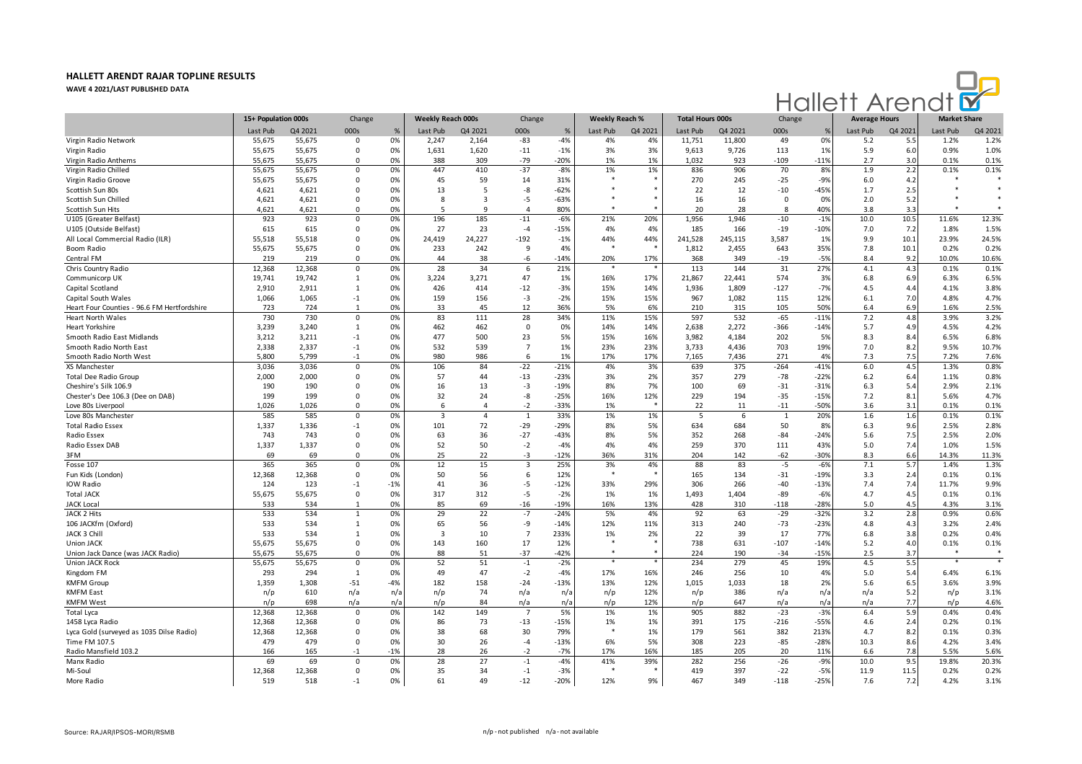

|                                             | 15+ Population 000s |         | Change       |       | <b>Weekly Reach 000s</b> |                | Change         |        | <b>Weekly Reach %</b> |         | <b>Total Hours 000s</b>  |         | Change       |               | <b>Average Hours</b> |         | <b>Market Share</b> |         |
|---------------------------------------------|---------------------|---------|--------------|-------|--------------------------|----------------|----------------|--------|-----------------------|---------|--------------------------|---------|--------------|---------------|----------------------|---------|---------------------|---------|
|                                             | Last Pub            | Q4 2021 | 000s         | $\%$  | Last Pub                 | Q4 2021        | 000s           | %      | Last Pub              | Q4 2021 | Last Pub                 | Q4 2021 | 000s         | $\frac{9}{2}$ | Last Pub             | Q4 2021 | Last Pub            | Q4 2021 |
| Virgin Radio Network                        | 55,675              | 55,675  | $\mathbf 0$  | 0%    | 2,247                    | 2,164          | $-83$          | $-4%$  | 4%                    | 4%      | 11,751                   | 11,800  | 49           | 0%            | 5.2                  | 5.5     | 1.2%                | 1.2%    |
| Virgin Radio                                | 55,675              | 55,675  | $\mathbf 0$  | 0%    | 1,631                    | 1,620          | $-11$          | $-1%$  | 3%                    | 3%      | 9,613                    | 9,726   | 113          | 1%            | 5.9                  | 6.0     | 0.9%                | 1.0%    |
| Virgin Radio Anthems                        | 55,675              | 55,675  | $\Omega$     | 0%    | 388                      | 309            | $-79$          | $-20%$ | 1%                    | 1%      | 1,032                    | 923     | $-109$       | $-11%$        | 2.7                  | 3.0     | 0.1%                | 0.1%    |
| Virgin Radio Chilled                        | 55,675              | 55,675  | $\mathbf 0$  | 0%    | 447                      | 410            | $-37$          | $-8%$  | 1%                    | 1%      | 836                      | 906     | 70           | 8%            | 1.9                  | 2.2     | 0.1%                | 0.1%    |
| Virgin Radio Groove                         | 55,675              | 55,675  | $\Omega$     | 0%    | 45                       | 59             | 14             | 31%    |                       |         | 270                      | 245     | $-25$        | $-9%$         | 6.0                  | 4.2     |                     |         |
| Scottish Sun 80s                            | 4,621               | 4,621   | 0            | 0%    | 13                       | 5              | -8             | $-62%$ |                       |         | 22                       | 12      | $-10$        | $-45%$        | 1.7                  | 2.5     |                     |         |
| Scottish Sun Chilled                        | 4,621               | 4,621   | 0            | 0%    | 8                        | 3              | $-5$           | $-63%$ |                       |         | 16                       | 16      | 0            | 0%            | 2.0                  | 5.2     |                     |         |
| Scottish Sun Hits                           | 4,621               | 4,621   | $\Omega$     | 0%    | 5                        | $\mathbf{q}$   | $\Delta$       | 80%    |                       |         | 20                       | 28      | <sub>R</sub> | 40%           | 3.8                  | 3.3     |                     |         |
| U105 (Greater Belfast)                      | 923                 | 923     | $\Omega$     | 0%    | 196                      | 185            | $-11$          | $-6%$  | 21%                   | 20%     | 1,956                    | 1.946   | $-10$        | $-1%$         | 10.0                 | 10.5    | 11.6%               | 12.3%   |
| U105 (Outside Belfast)                      | 615                 | 615     | $\Omega$     | 0%    | 27                       | 23             | $-4$           | $-15%$ | 4%                    | 4%      | 185                      | 166     | $-19$        | $-10%$        | 7.0                  | 7.2     | 1.8%                | 1.5%    |
| All Local Commercial Radio (ILR)            | 55,518              | 55,518  | $\Omega$     | 0%    | 24,419                   | 24,227         | $-192$         | $-1%$  | 44%                   | 44%     | 241,528                  | 245,115 | 3,587        | 1%            | 9.9                  | 10.1    | 23.9%               | 24.5%   |
| Boom Radio                                  | 55,675              | 55,675  | $\Omega$     | 0%    | 233                      | 242            | 9              | 4%     | $\bullet$             |         | 1,812                    | 2,455   | 643          | 35%           | 7.8                  | 10.1    | 0.2%                | 0.2%    |
| Central FM                                  | 219                 | 219     | $\Omega$     | 0%    | 44                       | 38             | -6             | $-14%$ | 20%                   | 17%     | 368                      | 349     | $-19$        | $-5%$         | 8.4                  | 9.2     | 10.0%               | 10.6%   |
| Chris Country Radio                         | 12,368              | 12,368  | $\mathbf{0}$ | 0%    | 28                       | 34             | 6              | 21%    |                       |         | 113                      | 144     | 31           | 27%           | 4.1                  | 4.3     | 0.1%                | 0.1%    |
| Communicorp UK                              | 19,741              | 19,742  | $\mathbf{1}$ | 0%    | 3,224                    | 3,271          | 47             | 1%     | 16%                   | 17%     | 21,867                   | 22,441  | 574          | 3%            | 6.8                  | 6.9     | 6.3%                | 6.5%    |
| Capital Scotland                            | 2,910               | 2,911   | 1            | 0%    | 426                      | 414            | $-12$          | $-3%$  | 15%                   | 14%     | 1,936                    | 1,809   | $-127$       | $-7%$         | 4.5                  | 4.4     | 4.1%                | 3.8%    |
| Capital South Wales                         | 1,066               | 1,065   | $-1$         | 0%    | 159                      | 156            | $-3$           | $-2%$  | 15%                   | 15%     | 967                      | 1,082   | 115          | 12%           | 6.1                  | 7.0     | 4.8%                | 4.7%    |
| Heart Four Counties - 96.6 FM Hertfordshire | 723                 | 724     | $\mathbf{1}$ | 0%    | 33                       | 45             | 12             | 36%    | 5%                    | 6%      | 210                      | 315     | 105          | 50%           | 6.4                  | 6.9     | 1.6%                | 2.5%    |
| <b>Heart North Wales</b>                    | 730                 | 730     | $\mathbf{0}$ | 0%    | 83                       | 111            | 28             | 34%    | 11%                   | 15%     | 597                      | 532     | $-65$        | $-11%$        | 7.2                  | 4.8     | 3.9%                | 3.2%    |
| <b>Heart Yorkshire</b>                      | 3,239               | 3,240   | $\mathbf{1}$ | 0%    | 462                      | 462            | $\Omega$       | 0%     | 14%                   | 14%     | 2,638                    | 2,272   | -366         | $-14%$        | 5.7                  | 4.9     | 4.5%                | 4.2%    |
| Smooth Radio East Midlands                  | 3,212               | 3,211   | $-1$         | 0%    | 477                      | 500            | 23             | 5%     | 15%                   | 16%     | 3,982                    | 4,184   | 202          | 5%            | 8.3                  | 8.4     | 6.5%                | 6.8%    |
| Smooth Radio North East                     | 2,338               | 2,337   | $-1$         | 0%    | 532                      | 539            | $\overline{7}$ | 1%     | 23%                   | 23%     | 3,733                    | 4,436   | 703          | 19%           | 7.0                  | 8.2     | 9.5%                | 10.7%   |
| Smooth Radio North West                     | 5,800               | 5,799   | $-1$         | 0%    | 980                      | 986            | 6              | 1%     | 17%                   | 17%     | 7,165                    | 7.436   | 271          | 4%            | 7.3                  | 7.5     | 7.2%                | 7.6%    |
| XS Manchester                               | 3,036               | 3,036   | $\Omega$     | 0%    | 106                      | 84             | $-22$          | $-21%$ | 4%                    | 3%      | 639                      | 375     | $-264$       | $-41%$        | 6.0                  | 4.5     | 1.3%                | 0.8%    |
| Total Dee Radio Group                       | 2,000               | 2,000   | $\mathbf 0$  | 0%    | 57                       | 44             | $-13$          | $-23%$ | 3%                    | 2%      | 357                      | 279     | $-78$        | $-22%$        | 6.2                  | 6.4     | 1.1%                | 0.8%    |
| Cheshire's Silk 106.9                       | 190                 | 190     | $\Omega$     | 0%    | 16                       | 13             | -3             | $-19%$ | 8%                    | 7%      | 100                      | 69      | $-31$        | $-31%$        | 6.3                  | 5.4     | 2.9%                | 2.1%    |
| Chester's Dee 106.3 (Dee on DAB)            | 199                 | 199     | $\mathbf 0$  | 0%    | 32                       | 24             | -8             | $-25%$ | 16%                   | 12%     | 229                      | 194     | $-35$        | $-15%$        | 7.2                  | 8.1     | 5.6%                | 4.7%    |
| Love 80s Liverpool                          | 1,026               | 1,026   | $\Omega$     | 0%    | 6                        | $\overline{a}$ | $-2$           | $-33%$ | 1%                    |         | 22                       | 11      | $-11$        | $-50%$        | 3.6                  | 3.1     | 0.1%                | 0.1%    |
| Love 80s Manchester                         | 585                 | 585     | $\mathbf 0$  | 0%    | $\overline{3}$           | $\overline{4}$ | $\mathbf{1}$   | 33%    | 1%                    | 1%      | $\overline{\phantom{a}}$ | 6       | $\mathbf{1}$ | 20%           | 1.6                  | 1.6     | 0.1%                | 0.1%    |
| <b>Total Radio Essex</b>                    | 1,337               | 1,336   | $-1$         | 0%    | 101                      | 72             | $-29$          | $-29%$ | 8%                    | 5%      | 634                      | 684     | 50           | 8%            | 6.3                  | 9.6     | 2.5%                | 2.8%    |
| Radio Essex                                 | 743                 | 743     | $\Omega$     | 0%    | 63                       | 36             | $-27$          | $-43%$ | 8%                    | 5%      | 352                      | 268     | $-84$        | $-24%$        | 5.6                  | 7.5     | 2.5%                | 2.0%    |
| Radio Essex DAB                             | 1,337               | 1,337   | $\Omega$     | 0%    | 52                       | 50             | $-2$           | $-4%$  | 4%                    | 4%      | 259                      | 370     | 111          | 43%           | 5.0                  | 7.4     | 1.0%                | 1.5%    |
| 3FM                                         | 69                  | 69      | $\Omega$     | 0%    | 25                       | 22             | $-3$           | $-12%$ | 36%                   | 31%     | 204                      | 142     | $-62$        | $-30%$        | 8.3                  | 6.6     | 14.3%               | 11.3%   |
| Fosse 107                                   | 365                 | 365     | $\Omega$     | 0%    | 12                       | 15             | $\overline{3}$ | 25%    | 3%                    | 4%      | 88                       | 83      | $-5$         | $-6%$         | 7.1                  | 5.7     | 1.4%                | 1.3%    |
| Fun Kids (London)                           | 12,368              | 12,368  | $\mathbf 0$  | 0%    | 50                       | 56             | 6              | 12%    | $\rightarrow$         |         | 165                      | 134     | $-31$        | $-19%$        | 3.3                  | 2.4     | 0.1%                | 0.1%    |
| IOW Radio                                   | 124                 | 123     | -1           | $-1%$ | 41                       | 36             | -5             | $-12%$ | 33%                   | 29%     | 306                      | 266     | $-40$        | $-13%$        | 7.4                  | 7.4     | 11.7%               | 9.9%    |
| <b>Total JACK</b>                           | 55,675              | 55,675  | $\mathbf 0$  | 0%    | 317                      | 312            | $-5$           | $-2%$  | 1%                    | 1%      | 1,493                    | 1,404   | $-89$        | $-6%$         | 4.7                  | 4.5     | 0.1%                | 0.1%    |
| <b>JACK Local</b>                           | 533                 | 534     | $\mathbf{1}$ | 0%    | 85                       | 69             | $-16$          | $-19%$ | 16%                   | 13%     | 428                      | 310     | $-118$       | $-28%$        | 5.0                  | 4.5     | 4.3%                | 3.1%    |
| JACK 2 Hits                                 | 533                 | 534     | $\mathbf{1}$ | 0%    | 29                       | 22             | $-7$           | $-24%$ | 5%                    | 4%      | 92                       | 63      | $-29$        | $-32%$        | 3.2                  | 2.8     | 0.9%                | 0.6%    |
| 106 JACKfm (Oxford)                         | 533                 | 534     | $\mathbf{1}$ | 0%    | 65                       | 56             | -9             | $-14%$ | 12%                   | 11%     | 313                      | 240     | $-73$        | $-23%$        | 4.8                  | 4.3     | 3.2%                | 2.4%    |
| JACK 3 Chill                                | 533                 | 534     | 1            | 0%    | $\overline{\mathbf{3}}$  | 10             | $\overline{7}$ | 233%   | 1%                    | 2%      | 22                       | 39      | 17           | 77%           | 6.8                  | 3.8     | 0.2%                | 0.4%    |
| <b>Union JACK</b>                           | 55,675              | 55,675  | $\Omega$     | 0%    | 143                      | 160            | 17             | 12%    | $\ast$                |         | 738                      | 631     | $-107$       | $-14%$        | 5.2                  | 4.0     | 0.1%                | 0.1%    |
| Union Jack Dance (was JACK Radio)           | 55,675              | 55,675  | $\Omega$     | 0%    | 88                       | 51             | $-37$          | $-42%$ | $\ast$                |         | 224                      | 190     | $-34$        | $-15%$        | 2.5                  | 3.7     | $\ast$              |         |
| <b>Union JACK Rock</b>                      | 55,675              | 55,675  | $\mathbf 0$  | 0%    | 52                       | 51             | $-1$           | $-2%$  |                       |         | 234                      | 279     | 45           | 19%           | 4.5                  | 5.5     | $\ast$              | $\ast$  |
| Kingdom FM                                  | 293                 | 294     | $\mathbf{1}$ | 0%    | 49                       | 47             | $-2$           | $-4%$  | 17%                   | 16%     | 246                      | 256     | 10           | 4%            | 5.0                  | 5.4     | 6.4%                | 6.1%    |
| <b>KMFM Group</b>                           | 1,359               | 1,308   | $-51$        | $-4%$ | 182                      | 158            | $-24$          | $-13%$ | 13%                   | 12%     | 1,015                    | 1,033   | 18           | 2%            | 5.6                  | 6.5     | 3.6%                | 3.9%    |
| <b>KMFM East</b>                            | n/p                 | 610     | n/a          | n/a   | n/p                      | 74             | n/a            | n/a    | n/p                   | 12%     | n/p                      | 386     | n/a          | n/a           | n/a                  | 5.2     | n/p                 | 3.1%    |
| <b>KMFM West</b>                            | n/p                 | 698     | n/a          | n/a   | n/p                      | 84             | n/a            | n/a    | n/p                   | 12%     | n/p                      | 647     | n/a          | n/a           | n/a                  | 7.7     | n/p                 | 4.6%    |
| <b>Total Lyca</b>                           | 12,368              | 12,368  | $\mathbf 0$  | 0%    | 142                      | 149            |                | 5%     | 1%                    | 1%      | 905                      | 882     | $-23$        | $-3%$         | 6.4                  | 5.9     | 0.4%                | 0.4%    |
| 1458 Lyca Radio                             | 12,368              | 12,368  | $\Omega$     | 0%    | 86                       | 73             | $-13$          | $-15%$ | 1%                    | 1%      | 391                      | 175     | $-216$       | $-55%$        | 4.6                  | 2.4     | 0.2%                | 0.1%    |
| Lyca Gold (surveyed as 1035 Dilse Radio)    | 12,368              | 12,368  | $\Omega$     | 0%    | 38                       | 68             | 30             | 79%    | $\rightarrow$         | 1%      | 179                      | 561     | 382          | 213%          | 4.7                  | 8.2     | 0.1%                | 0.3%    |
| Time FM 107.5                               | 479                 | 479     | $\Omega$     | 0%    | 30                       | 26             | $-4$           | $-13%$ | 6%                    | 5%      | 308                      | 223     | $-85$        | $-28%$        | 10.3                 | 8.6     | 4.2%                | 3.4%    |
| Radio Mansfield 103.2                       | 166                 | 165     | $-1$         | $-1%$ | 28                       | 26             | $-2$           | $-7%$  | 17%                   | 16%     | 185                      | 205     | 20           | 11%           | 6.6                  | 7.8     | 5.5%                | 5.6%    |
| Manx Radio                                  | 69                  | 69      | $\mathbf 0$  | 0%    | 28                       | 27             | $^{\circ}1$    | $-4%$  | 41%                   | 39%     | 282                      | 256     | $-26$        | $-9%$         | 10.0                 | 9.5     | 19.8%               | 20.3%   |
| Mi-Soul                                     | 12,368              | 12,368  | $\mathbf 0$  | 0%    | 35                       | 34             | $-1$           | $-3%$  | $\ast$                |         | 419                      | 397     | $-22$        | $-5%$         | 11.9                 | 11.5    | 0.2%                | 0.2%    |
| More Radio                                  | 519                 | 518     | $-1$         | 0%    | 61                       | 49             | $-12$          | $-20%$ | 12%                   | 9%      | 467                      | 349     | $-118$       | $-25%$        | 7.6                  | 7.2     | 4.2%                | 3.1%    |
|                                             |                     |         |              |       |                          |                |                |        |                       |         |                          |         |              |               |                      |         |                     |         |